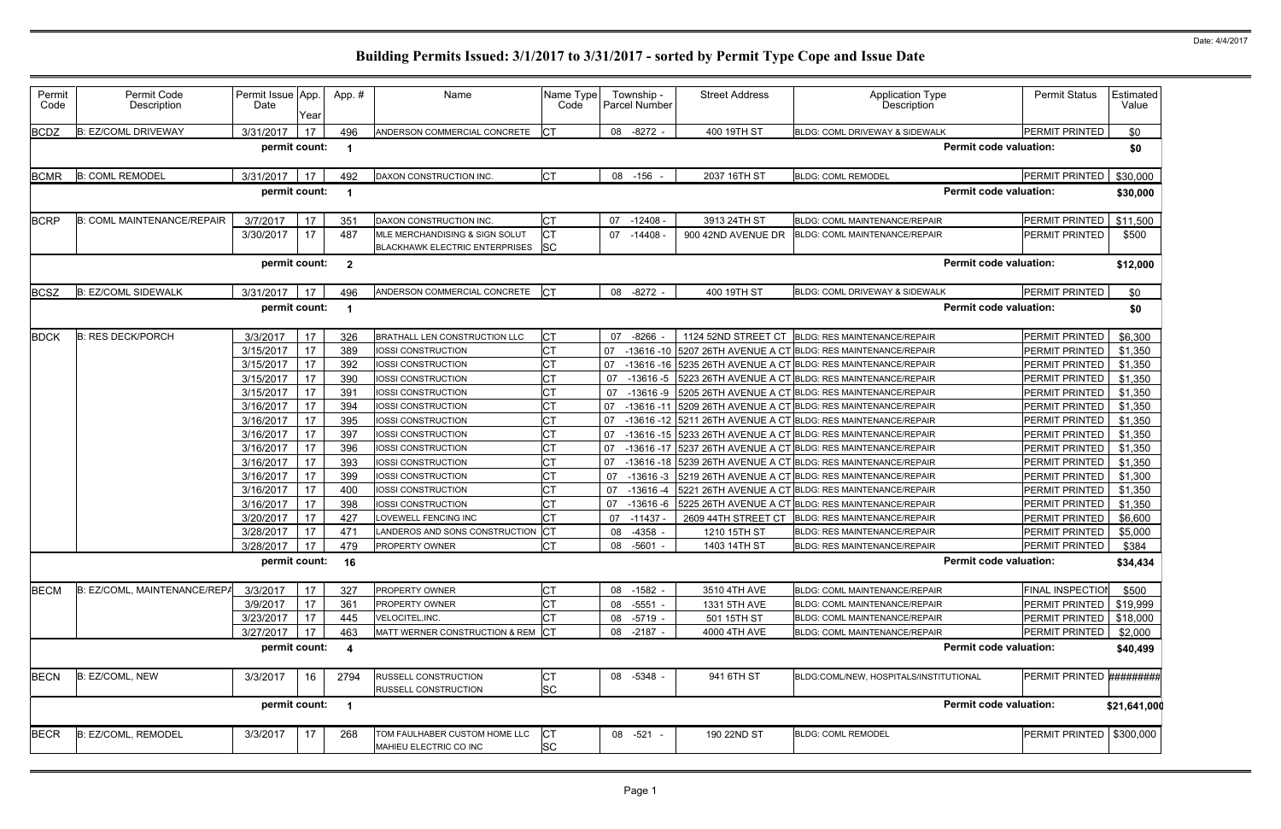| Permit<br>Code | Permit Code<br>Description        | Permit Issue App.<br>Date | Year | App. #                  | Name                                                                    | Name Type<br>Code      |    | Township -<br><b>Parcel Number</b> | <b>Street Address</b> | Application Type<br>Description                    | <b>Permit Status</b>       | Estimated<br>Value |
|----------------|-----------------------------------|---------------------------|------|-------------------------|-------------------------------------------------------------------------|------------------------|----|------------------------------------|-----------------------|----------------------------------------------------|----------------------------|--------------------|
| <b>BCDZ</b>    | <b>B: EZ/COML DRIVEWAY</b>        | 3/31/2017                 | 17   | 496                     | ANDERSON COMMERCIAL CONCRETE                                            | <b>ICT</b>             |    | 08 -8272 -                         | 400 19TH ST           | BLDG: COML DRIVEWAY & SIDEWALK                     | PERMIT PRINTED             | \$0                |
|                |                                   | permit count:             |      | -1                      |                                                                         |                        |    |                                    |                       | <b>Permit code valuation:</b>                      |                            | \$0                |
| <b>BCMR</b>    | <b>B: COML REMODEL</b>            | 3/31/2017                 | 17   | 492                     | DAXON CONSTRUCTION INC.                                                 | <b>CT</b>              |    | 08 -156                            | 2037 16TH ST          | <b>BLDG: COML REMODEL</b>                          | <b>PERMIT PRINTED</b>      | \$30,000           |
|                |                                   | permit count:             |      | -1                      |                                                                         |                        |    |                                    |                       | <b>Permit code valuation:</b>                      |                            | \$30,000           |
| <b>BCRP</b>    | <b>B: COML MAINTENANCE/REPAIR</b> | 3/7/2017                  | 17   | 351                     | DAXON CONSTRUCTION INC                                                  | СT                     | 07 | $-12408$                           | 3913 24TH ST          | <b>BLDG: COML MAINTENANCE/REPAIR</b>               | PERMIT PRINTED             | \$11,500           |
|                |                                   | 3/30/2017                 | 17   | 487                     | MLE MERCHANDISING & SIGN SOLUT<br><b>BLACKHAWK ELECTRIC ENTERPRISES</b> | <b>CT</b><br><b>SC</b> | 07 | $-14408$                           | 900 42ND AVENUE DR    | <b>BLDG: COML MAINTENANCE/REPAIR</b>               | PERMIT PRINTED             | \$500              |
|                |                                   | permit count:             |      | $\overline{2}$          |                                                                         |                        |    |                                    |                       | <b>Permit code valuation:</b>                      |                            | \$12,000           |
| <b>BCSZ</b>    | <b>B: EZ/COML SIDEWALK</b>        | 3/31/2017                 | 17   | 496                     | ANDERSON COMMERCIAL CONCRETE                                            | ICT                    |    | 08 -8272 -                         | 400 19TH ST           | BLDG: COML DRIVEWAY & SIDEWALK                     | PERMIT PRINTED             | \$0                |
|                |                                   | permit count:             |      |                         |                                                                         |                        |    |                                    |                       | <b>Permit code valuation:</b>                      |                            | \$0                |
| <b>BDCK</b>    | <b>B: RES DECK/PORCH</b>          | 3/3/2017                  | 17   | 326                     | <b>BRATHALL LEN CONSTRUCTION LLC</b>                                    | СT                     | 07 | $-8266$                            | 1124 52ND STREET CT   | <b>BLDG: RES MAINTENANCE/REPAIR</b>                | PERMIT PRINTED             | \$6,300            |
|                |                                   | 3/15/2017                 | 17   | 389                     | IOSSI CONSTRUCTION                                                      | СT                     | 07 | $-13616 - 10$                      |                       | 5207 26TH AVENUE A CT BLDG: RES MAINTENANCE/REPAIR | PERMIT PRINTED             | \$1,350            |
|                |                                   | 3/15/2017                 | 17   | 392                     | IOSSI CONSTRUCTION                                                      | <b>CT</b>              | 07 | -13616 -16                         |                       | 5235 26TH AVENUE A CT BLDG: RES MAINTENANCE/REPAIR | PERMIT PRINTED             | \$1,350            |
|                |                                   | 3/15/2017                 | 17   | 390                     | IOSSI CONSTRUCTION                                                      | СT                     | 07 | $-13616-5$                         |                       | 5223 26TH AVENUE A CT BLDG: RES MAINTENANCE/REPAIR | PERMIT PRINTED             | \$1,350            |
|                |                                   | 3/15/2017                 | 17   | 391                     | IOSSI CONSTRUCTION                                                      | СT                     | 07 | $-13616 - 9$                       |                       | 5205 26TH AVENUE A CT BLDG: RES MAINTENANCE/REPAIR | PERMIT PRINTED             | \$1,350            |
|                |                                   | 3/16/2017                 | 17   | 394                     | IOSSI CONSTRUCTION                                                      | СT                     | 07 | $-13616 - 11$                      |                       | 5209 26TH AVENUE A CT BLDG: RES MAINTENANCE/REPAIR | PERMIT PRINTED             | \$1,350            |
|                |                                   | 3/16/2017                 | 17   | 395                     | IOSSI CONSTRUCTION                                                      | СT                     | 07 | -13616 -12                         |                       | 5211 26TH AVENUE A CT BLDG: RES MAINTENANCE/REPAIR | PERMIT PRINTED             | \$1,350            |
|                |                                   | 3/16/2017                 | 17   | 397                     | IOSSI CONSTRUCTION                                                      | СT                     | 07 | -13616 -15                         |                       | 5233 26TH AVENUE A CT BLDG: RES MAINTENANCE/REPAIR | PERMIT PRINTED             | \$1,350            |
|                |                                   | 3/16/2017                 | 17   | 396                     | IOSSI CONSTRUCTION                                                      | СT                     | 07 | $-13616 - 17$                      |                       | 5237 26TH AVENUE A CT BLDG: RES MAINTENANCE/REPAIR | PERMIT PRINTED             | \$1,350            |
|                |                                   | 3/16/2017                 | 17   | 393                     | IOSSI CONSTRUCTION                                                      | СT                     | 07 | $-13616 - 18$                      |                       | 5239 26TH AVENUE A CT BLDG: RES MAINTENANCE/REPAIR | PERMIT PRINTED             | \$1,350            |
|                |                                   | 3/16/2017                 | 17   | 399                     | IOSSI CONSTRUCTION                                                      | СT                     | 07 | $-13616-3$                         |                       | 5219 26TH AVENUE A CT BLDG: RES MAINTENANCE/REPAIR | PERMIT PRINTED             | \$1,300            |
|                |                                   | 3/16/2017                 | 17   | 400                     | IOSSI CONSTRUCTION                                                      | СT                     | 07 | $-13616 - 4$                       |                       | 5221 26TH AVENUE A CT BLDG: RES MAINTENANCE/REPAIR | PERMIT PRINTED             | \$1,350            |
|                |                                   | 3/16/2017                 | 17   | 398                     | IOSSI CONSTRUCTION                                                      | CТ                     | 07 | $-13616 - 6$                       |                       | 5225 26TH AVENUE A CT BLDG: RES MAINTENANCE/REPAIR | PERMIT PRINTED             | \$1,350            |
|                |                                   | 3/20/2017                 | 17   | 427                     | LOVEWELL FENCING INC                                                    | СT                     | 07 | $-11437$                           | 2609 44TH STREET CT   | <b>BLDG: RES MAINTENANCE/REPAIR</b>                | PERMIT PRINTED             | \$6,600            |
|                |                                   | 3/28/2017                 | 17   | 471                     | LANDEROS AND SONS CONSTRUCTION                                          | <b>CT</b>              | 08 | $-4358$                            | 1210 15TH ST          | <b>BLDG: RES MAINTENANCE/REPAIR</b>                | PERMIT PRINTED             | \$5,000            |
|                |                                   | 3/28/2017                 | 17   | 479                     | PROPERTY OWNER                                                          | <b>CT</b>              | 08 | -5601 -                            | 1403 14TH ST          | <b>BLDG: RES MAINTENANCE/REPAIR</b>                | PERMIT PRINTED             | \$384              |
|                |                                   | permit count: 16          |      |                         |                                                                         |                        |    |                                    |                       | <b>Permit code valuation:</b>                      |                            | \$34,434           |
| <b>BECM</b>    | B: EZ/COML, MAINTENANCE/REPA      | 3/3/2017                  | 17   | 327                     | PROPERTY OWNER                                                          | СT                     |    | 08 -1582 -                         | 3510 4TH AVE          | BLDG: COML MAINTENANCE/REPAIR                      | FINAL INSPECTION           | \$500              |
|                |                                   | 3/9/2017                  | 17   | 361                     | PROPERTY OWNER                                                          | СT                     | 08 | $-5551$                            | 1331 5TH AVE          | BLDG: COML MAINTENANCE/REPAIR                      | PERMIT PRINTED             | \$19,999           |
|                |                                   | 3/23/2017                 | 17   | 445                     | VELOCITEL, INC.                                                         | СT                     | 08 | -5719 -                            | 501 15TH ST           | BLDG: COML MAINTENANCE/REPAIR                      | PERMIT PRINTED             | \$18,000           |
|                |                                   | 3/27/2017                 | 17   | 463                     | MATT WERNER CONSTRUCTION & REM                                          | <b>CT</b>              |    | 08 -2187 -                         | 4000 4TH AVE          | <b>BLDG: COML MAINTENANCE/REPAIR</b>               | PERMIT PRINTED             | \$2,000            |
|                |                                   | permit count:             |      | $\overline{\mathbf{4}}$ |                                                                         |                        |    |                                    |                       | <b>Permit code valuation:</b>                      |                            | \$40,499           |
| <b>BECN</b>    | B: EZ/COML, NEW                   | 3/3/2017                  | 16   | 2794                    | RUSSELL CONSTRUCTION<br>RUSSELL CONSTRUCTION                            | СT<br><b>SC</b>        |    | 08 -5348 -                         | 941 6TH ST            | BLDG:COML/NEW, HOSPITALS/INSTITUTIONAL             | PERMIT PRINTED #########   |                    |
|                |                                   | permit count:             |      | -1                      |                                                                         |                        |    |                                    |                       | <b>Permit code valuation:</b>                      |                            | \$21,641,000       |
| <b>BECR</b>    | B: EZ/COML, REMODEL               | 3/3/2017                  | 17   | 268                     | TOM FAULHABER CUSTOM HOME LLC                                           | <b>CT</b>              |    | 08 -521 -                          | 190 22ND ST           | <b>BLDG: COML REMODEL</b>                          | PERMIT PRINTED   \$300,000 |                    |
|                |                                   |                           |      |                         | MAHIEU ELECTRIC CO INC                                                  | <b>SC</b>              |    |                                    |                       |                                                    |                            |                    |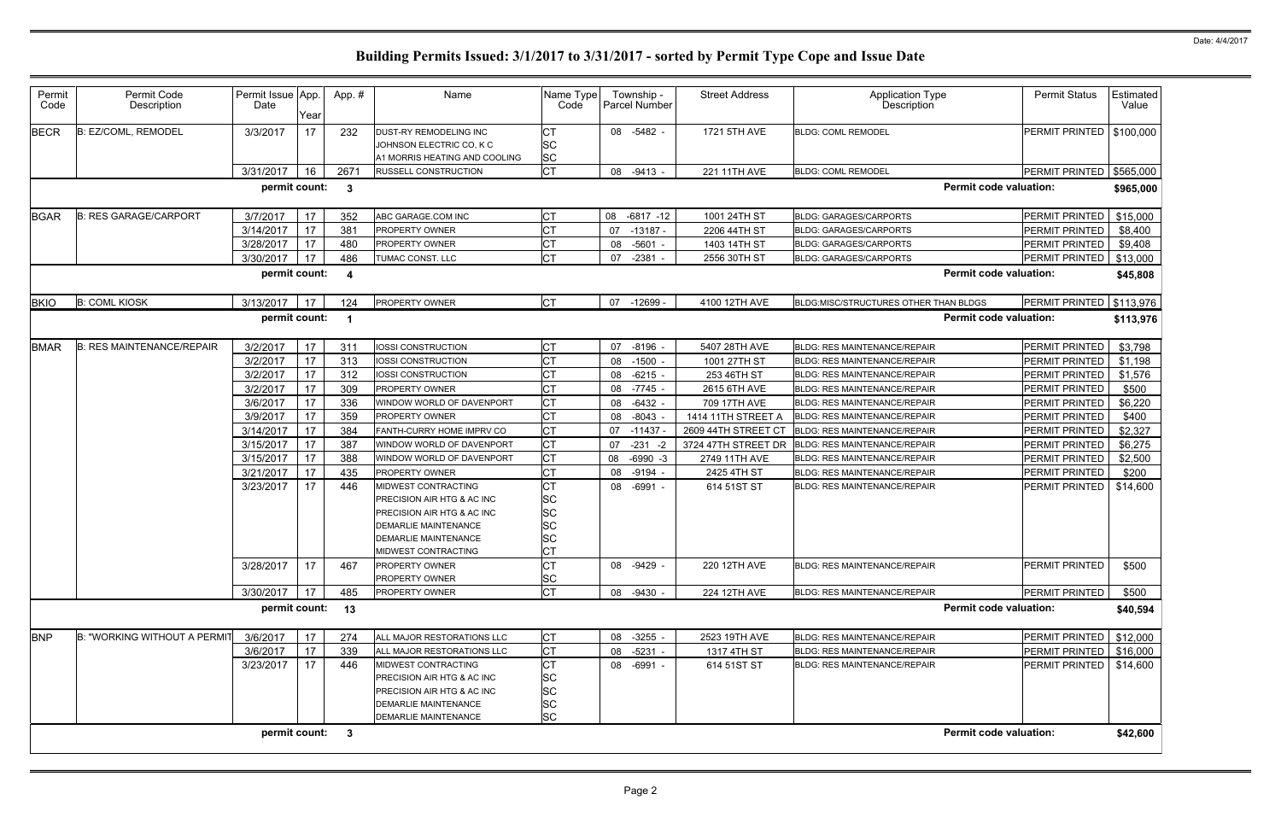| Permit<br>Code | Permit Code<br>Description       | Permit Issue App.<br>Date | Year | App.#            | Name                          | Name Type<br>Code | Township -<br>Parcel Number | <b>Street Address</b> | <b>Application Type</b><br>Description | <b>Permit Status</b>  | <b>Estimated</b><br>Value |
|----------------|----------------------------------|---------------------------|------|------------------|-------------------------------|-------------------|-----------------------------|-----------------------|----------------------------------------|-----------------------|---------------------------|
| <b>BECR</b>    | B: EZ/COML, REMODEL              | 3/3/2017                  | 17   | 232              | DUST-RY REMODELING INC        | <b>CT</b>         | 08 -5482 -                  | 1721 5TH AVE          | <b>BLDG: COML REMODEL</b>              | PERMIT PRINTED        | \$100,000                 |
|                |                                  |                           |      |                  | JOHNSON ELECTRIC CO, K C      | <b>SC</b>         |                             |                       |                                        |                       |                           |
|                |                                  |                           |      |                  | A1 MORRIS HEATING AND COOLING | <b>SC</b>         |                             |                       |                                        |                       |                           |
|                |                                  | 3/31/2017                 | 16   | 2671             | <b>RUSSELL CONSTRUCTION</b>   | <b>CT</b>         | 08 -9413 -                  | 221 11TH AVE          | <b>BLDG: COML REMODEL</b>              | PERMIT PRINTED        | \$565,000                 |
|                |                                  | permit count:             |      | $\mathbf{3}$     |                               |                   |                             |                       | <b>Permit code valuation:</b>          |                       | \$965,000                 |
| <b>BGAR</b>    | <b>B: RES GARAGE/CARPORT</b>     | 3/7/2017                  | 17   | 352              | ABC GARAGE.COM INC            | <b>CT</b>         | 08 -6817 -12                | 1001 24TH ST          | <b>BLDG: GARAGES/CARPORTS</b>          | <b>PERMIT PRINTED</b> | \$15,000                  |
|                |                                  | 3/14/2017                 | 17   | 381              | PROPERTY OWNER                | <b>CT</b>         | 07<br>$-13187 -$            | 2206 44TH ST          | <b>BLDG: GARAGES/CARPORTS</b>          | <b>PERMIT PRINTED</b> | \$8,400                   |
|                |                                  | 3/28/2017                 | 17   | 480              | PROPERTY OWNER                | <b>CT</b>         | -5601 -<br>08               | 1403 14TH ST          | <b>BLDG: GARAGES/CARPORTS</b>          | <b>PERMIT PRINTED</b> | \$9,408                   |
|                |                                  | 3/30/2017                 | 17   | 486              | TUMAC CONST. LLC              | <b>CT</b>         | 07<br>-2381 -               | 2556 30TH ST          | <b>BLDG: GARAGES/CARPORTS</b>          | PERMIT PRINTED        | \$13,000                  |
|                |                                  | permit count:             |      | $\boldsymbol{4}$ |                               |                   |                             |                       | <b>Permit code valuation:</b>          |                       | \$45,808                  |
| <b>BKIO</b>    | <b>B: COML KIOSK</b>             | 3/13/2017                 | 17   | 124              | PROPERTY OWNER                | <b>CT</b>         | -12699 -<br>07              | 4100 12TH AVE         | BLDG:MISC/STRUCTURES OTHER THAN BLDGS  | PERMIT PRINTED        | \$113,976                 |
|                |                                  | permit count:             |      | -1               |                               |                   |                             |                       | <b>Permit code valuation:</b>          |                       | \$113,976                 |
| <b>BMAR</b>    | <b>B: RES MAINTENANCE/REPAIR</b> | 3/2/2017                  | 17   | 311              | <b>IOSSI CONSTRUCTION</b>     | <b>CT</b>         | 07<br>$-8196 -$             | 5407 28TH AVE         | <b>BLDG: RES MAINTENANCE/REPAIR</b>    | PERMIT PRINTED        | \$3,798                   |
|                |                                  | 3/2/2017                  | 17   | 313              | <b>IOSSI CONSTRUCTION</b>     | <b>CT</b>         | 08 -1500 -                  | 1001 27TH ST          | <b>BLDG: RES MAINTENANCE/REPAIR</b>    | <b>PERMIT PRINTED</b> | \$1,198                   |
|                |                                  | 3/2/2017                  | 17   | 312              | IOSSI CONSTRUCTION            | <b>CT</b>         | $-6215 -$<br>08             | 253 46TH ST           | <b>BLDG: RES MAINTENANCE/REPAIR</b>    | PERMIT PRINTED        | \$1,576                   |
|                |                                  | 3/2/2017                  | 17   | 309              | <b>PROPERTY OWNER</b>         | <b>CT</b>         | $-7745 -$<br>08             | 2615 6TH AVE          | <b>BLDG: RES MAINTENANCE/REPAIR</b>    | <b>PERMIT PRINTED</b> | \$500                     |
|                |                                  | 3/6/2017                  | 17   | 336              | WINDOW WORLD OF DAVENPORT     | <b>CT</b>         | $-6432 -$<br>08             | 709 17TH AVE          | <b>BLDG: RES MAINTENANCE/REPAIR</b>    | PERMIT PRINTED        | \$6,220                   |
|                |                                  | 3/9/2017                  | 17   | 359              | PROPERTY OWNER                | <b>CT</b>         | 08 -8043 -                  | 1414 11TH STREET A    | <b>BLDG: RES MAINTENANCE/REPAIR</b>    | <b>PERMIT PRINTED</b> | \$400                     |
|                |                                  | 3/14/2017                 | 17   | 384              | FANTH-CURRY HOME IMPRV CO     | <b>CT</b>         | $-11437$<br>07              | 2609 44TH STREET CT   | <b>BLDG: RES MAINTENANCE/REPAIR</b>    | PERMIT PRINTED        | \$2,327                   |
|                |                                  | 3/15/2017                 | 17   | 387              | WINDOW WORLD OF DAVENPORT     | <b>CT</b>         | $-231 - 2$<br>07            | 3724 47TH STREET DR   | <b>BLDG: RES MAINTENANCE/REPAIR</b>    | PERMIT PRINTED        | \$6,275                   |
|                |                                  | 3/15/2017                 | 17   | 388              | WINDOW WORLD OF DAVENPORT     | <b>CT</b>         | $-6990 -3$<br>08            | 2749 11TH AVE         | <b>BLDG: RES MAINTENANCE/REPAIR</b>    | PERMIT PRINTED        | \$2,500                   |
|                |                                  | 3/21/2017                 | 17   | 435              | <b>PROPERTY OWNER</b>         | <b>CT</b>         | 08<br>-9194 -               | 2425 4TH ST           | BLDG: RES MAINTENANCE/REPAIR           | PERMIT PRINTED        | \$200                     |
|                |                                  | 3/23/2017                 | 17   | 446              | MIDWEST CONTRACTING           | <b>CT</b>         | 08 -6991 -                  | 614 51ST ST           | <b>BLDG: RES MAINTENANCE/REPAIR</b>    | <b>PERMIT PRINTED</b> | \$14,600                  |
|                |                                  |                           |      |                  | PRECISION AIR HTG & AC INC    | <b>SC</b>         |                             |                       |                                        |                       |                           |
|                |                                  |                           |      |                  | PRECISION AIR HTG & AC INC    | <b>SC</b>         |                             |                       |                                        |                       |                           |
|                |                                  |                           |      |                  | <b>DEMARLIE MAINTENANCE</b>   | <b>SC</b>         |                             |                       |                                        |                       |                           |
|                |                                  |                           |      |                  | <b>DEMARLIE MAINTENANCE</b>   | <b>SC</b>         |                             |                       |                                        |                       |                           |
|                |                                  |                           |      |                  | MIDWEST CONTRACTING           | <b>CT</b>         |                             |                       |                                        |                       |                           |
|                |                                  | 3/28/2017                 | 17   | 467              | PROPERTY OWNER                | <b>CT</b>         | 08 -9429 -                  | 220 12TH AVE          | <b>BLDG: RES MAINTENANCE/REPAIR</b>    | <b>PERMIT PRINTED</b> | \$500                     |
|                |                                  |                           |      |                  | PROPERTY OWNER                | <b>SC</b>         |                             |                       |                                        |                       |                           |
|                |                                  | 3/30/2017                 | 17   | 485              | <b>PROPERTY OWNER</b>         | <b>CT</b>         | 08 -9430 -                  | 224 12TH AVE          | <b>BLDG: RES MAINTENANCE/REPAIR</b>    | <b>PERMIT PRINTED</b> | \$500                     |
|                |                                  | permit count:             |      | 13               |                               |                   |                             |                       | <b>Permit code valuation:</b>          |                       | \$40,594                  |
| <b>BNP</b>     | B: "WORKING WITHOUT A PERMIT     | 3/6/2017                  | 17   | 274              | ALL MAJOR RESTORATIONS LLC    | <b>CT</b>         | 08 -3255 -                  | 2523 19TH AVE         | <b>BLDG: RES MAINTENANCE/REPAIR</b>    | <b>PERMIT PRINTED</b> | \$12,000                  |
|                |                                  | 3/6/2017                  | 17   | 339              | ALL MAJOR RESTORATIONS LLC    | <b>CT</b>         | -5231 -<br>08               | 1317 4TH ST           | BLDG: RES MAINTENANCE/REPAIR           | PERMIT PRINTED        | \$16,000                  |
|                |                                  | 3/23/2017                 | 17   | 446              | MIDWEST CONTRACTING           | <b>CT</b>         | 08 -6991 -                  | 614 51ST ST           | <b>BLDG: RES MAINTENANCE/REPAIR</b>    | PERMIT PRINTED        | \$14,600                  |
|                |                                  |                           |      |                  | PRECISION AIR HTG & AC INC    | <b>SC</b>         |                             |                       |                                        |                       |                           |
|                |                                  |                           |      |                  | PRECISION AIR HTG & AC INC    | <b>SC</b>         |                             |                       |                                        |                       |                           |
|                |                                  |                           |      |                  | <b>DEMARLIE MAINTENANCE</b>   | <b>SC</b>         |                             |                       |                                        |                       |                           |
|                |                                  |                           |      |                  | <b>DEMARLIE MAINTENANCE</b>   | <b>SC</b>         |                             |                       |                                        |                       |                           |
|                |                                  | permit count: 3           |      |                  |                               |                   |                             |                       | <b>Permit code valuation:</b>          |                       | \$42,600                  |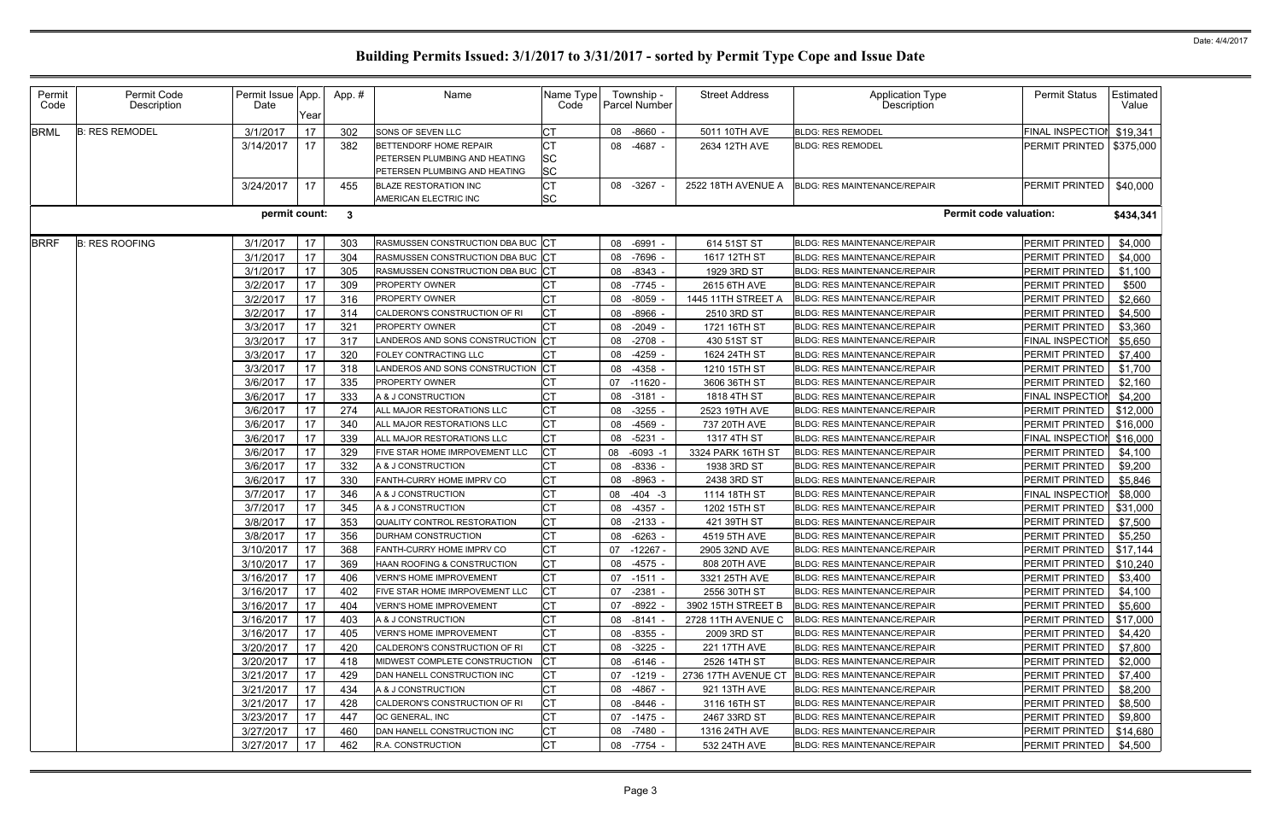| Permit<br>Code | Permit Code<br>Description | Permit Issue App.<br>Date | Year | App.#        | Name                                                                                     | Name Type<br>Code |    | Township -<br><b>Parcel Number</b> | <b>Street Address</b> | Application Type<br>Description     | <b>Permit Status</b>      | Estimated<br>Value |
|----------------|----------------------------|---------------------------|------|--------------|------------------------------------------------------------------------------------------|-------------------|----|------------------------------------|-----------------------|-------------------------------------|---------------------------|--------------------|
| <b>BRML</b>    | <b>B: RES REMODEL</b>      | 3/1/2017                  | 17   | 302          | SONS OF SEVEN LLC                                                                        | СT                | 08 | $-8660 -$                          | 5011 10TH AVE         | <b>BLDG: RES REMODEL</b>            | FINAL INSPECTION          | \$19,341           |
|                |                            | 3/14/2017                 | 17   | 382          | BETTENDORF HOME REPAIR<br>PETERSEN PLUMBING AND HEATING<br>PETERSEN PLUMBING AND HEATING | СT<br>SC<br>SC    |    | 08 -4687 -                         | 2634 12TH AVE         | <b>BLDG: RES REMODEL</b>            | PERMIT PRINTED            | \$375,000          |
|                |                            | 3/24/2017                 | 17   | 455          | <b>BLAZE RESTORATION INC</b><br>AMERICAN ELECTRIC INC                                    | СT<br><b>SC</b>   |    | 08 -3267 -                         | 2522 18TH AVENUE A    | <b>BLDG: RES MAINTENANCE/REPAIR</b> | PERMIT PRINTED            | \$40,000           |
|                |                            | permit count:             |      | $\mathbf{3}$ |                                                                                          |                   |    |                                    |                       | <b>Permit code valuation:</b>       |                           | \$434,341          |
| <b>BRRF</b>    | <b>B: RES ROOFING</b>      | 3/1/2017                  | 17   | 303          | RASMUSSEN CONSTRUCTION DBA BUC                                                           | <b>CT</b>         | 08 | -6991                              | 614 51ST ST           | BLDG: RES MAINTENANCE/REPAIR        | PERMIT PRINTED            | \$4,000            |
|                |                            | 3/1/2017                  | 17   | 304          | RASMUSSEN CONSTRUCTION DBA BUC                                                           | ICT               | 08 | -7696                              | 1617 12TH ST          | <b>BLDG: RES MAINTENANCE/REPAIR</b> | PERMIT PRINTED            | \$4,000            |
|                |                            | 3/1/2017                  | 17   | 305          | RASMUSSEN CONSTRUCTION DBA BUC                                                           | ICT               | 08 | $-8343 -$                          | 1929 3RD ST           | <b>BLDG: RES MAINTENANCE/REPAIR</b> | PERMIT PRINTED            | \$1,100            |
|                |                            | 3/2/2017                  | 17   | 309          | PROPERTY OWNER                                                                           |                   | 08 | $-7745 -$                          | 2615 6TH AVE          | <b>BLDG: RES MAINTENANCE/REPAIR</b> | PERMIT PRINTED            | \$500              |
|                |                            | 3/2/2017                  | 17   | 316          | PROPERTY OWNER                                                                           | СT                | 08 | $-8059$                            | 1445 11TH STREET A    | <b>BLDG: RES MAINTENANCE/REPAIR</b> | PERMIT PRINTED            | \$2,660            |
|                |                            | 3/2/2017                  | 17   | 314          | CALDERON'S CONSTRUCTION OF RI                                                            | СT                | 08 | $-8966 -$                          | 2510 3RD ST           | <b>BLDG: RES MAINTENANCE/REPAIR</b> | PERMIT PRINTED            | \$4,500            |
|                |                            | 3/3/2017                  | 17   | 321          | PROPERTY OWNER                                                                           | СT                | 08 | $-2049 -$                          | 1721 16TH ST          | <b>BLDG: RES MAINTENANCE/REPAIR</b> | PERMIT PRINTED            | \$3,360            |
|                |                            | 3/3/2017                  | 17   | 317          | ANDEROS AND SONS CONSTRUCTION                                                            | СT                | 08 | $-2708$                            | 430 51ST ST           | <b>BLDG: RES MAINTENANCE/REPAIR</b> | FINAL INSPECTIOI          | \$5,650            |
|                |                            | 3/3/2017                  | 17   | 320          | FOLEY CONTRACTING LLC                                                                    |                   | 08 | $-4259$                            | 1624 24TH ST          | <b>BLDG: RES MAINTENANCE/REPAIR</b> | PERMIT PRINTED            | \$7,400            |
|                |                            | 3/3/2017                  | 17   | 318          | ANDEROS AND SONS CONSTRUCTION                                                            | Iст               | 08 | $-4358$                            | 1210 15TH ST          | <b>BLDG: RES MAINTENANCE/REPAIR</b> | PERMIT PRINTED            | \$1,700            |
|                |                            | 3/6/2017                  | 17   | 335          | PROPERTY OWNER                                                                           |                   | 07 | $-11620$ $\cdot$                   | 3606 36TH ST          | <b>BLDG: RES MAINTENANCE/REPAIR</b> | PERMIT PRINTED            | \$2,160            |
|                |                            | 3/6/2017                  | 17   | 333          | A & J CONSTRUCTION                                                                       | СT                | 08 | $-3181$                            | 1818 4TH ST           | <b>BLDG: RES MAINTENANCE/REPAIR</b> | <b>FINAL INSPECTION</b>   | \$4,200            |
|                |                            | 3/6/2017                  | 17   | 274          | ALL MAJOR RESTORATIONS LLC                                                               | СT                | 08 | $-3255 -$                          | 2523 19TH AVE         | <b>BLDG: RES MAINTENANCE/REPAIR</b> | PERMIT PRINTED            | \$12,000           |
|                |                            | 3/6/2017                  | 17   | 340          | ALL MAJOR RESTORATIONS LLC                                                               | СT                | 08 | $-4569 -$                          | 737 20TH AVE          | <b>BLDG: RES MAINTENANCE/REPAIR</b> | PERMIT PRINTED            | \$16,000           |
|                |                            | 3/6/2017                  | 17   | 339          | ALL MAJOR RESTORATIONS LLC                                                               | <b>CT</b>         | 08 | $-5231 -$                          | 1317 4TH ST           | <b>BLDG: RES MAINTENANCE/REPAIR</b> | <b>FINAL INSPECTION</b>   | \$16,000           |
|                |                            | 3/6/2017                  | 17   | 329          | FIVE STAR HOME IMRPOVEMENT LLC                                                           | СT                | 08 | $-6093 - 1$                        | 3324 PARK 16TH ST     | <b>BLDG: RES MAINTENANCE/REPAIR</b> | PERMIT PRINTED            | \$4,100            |
|                |                            | 3/6/2017                  | 17   | 332          | A & J CONSTRUCTION                                                                       | CТ                | 08 | $-8336$                            | 1938 3RD ST           | <b>BLDG: RES MAINTENANCE/REPAIR</b> | PERMIT PRINTED            | \$9,200            |
|                |                            | 3/6/2017                  | 17   | 330          | <b>FANTH-CURRY HOME IMPRV CO</b>                                                         | СT                | 08 | $-8963 -$                          | 2438 3RD ST           | <b>BLDG: RES MAINTENANCE/REPAIR</b> | PERMIT PRINTED            | \$5,846            |
|                |                            | 3/7/2017                  | 17   | 346          | A & J CONSTRUCTION                                                                       | СT                | 08 | $-404 -3$                          | 1114 18TH ST          | BLDG: RES MAINTENANCE/REPAIR        | <b>FINAL INSPECTIOI</b>   | \$8,000            |
|                |                            | 3/7/2017                  | 17   | 345          | A & J CONSTRUCTION                                                                       | СT                | 08 | $-4357 -$                          | 1202 15TH ST          | <b>BLDG: RES MAINTENANCE/REPAIR</b> | PERMIT PRINTED            | \$31,000           |
|                |                            | 3/8/2017                  | 17   | 353          | QUALITY CONTROL RESTORATION                                                              | СT                | 08 | $-2133 -$                          | 421 39TH ST           | <b>BLDG: RES MAINTENANCE/REPAIR</b> | PERMIT PRINTED            | \$7,500            |
|                |                            | 3/8/2017                  | 17   | 356          | DURHAM CONSTRUCTION                                                                      | СT                | 08 | $-6263$                            | 4519 5TH AVE          | <b>BLDG: RES MAINTENANCE/REPAIR</b> | PERMIT PRINTED            | \$5,250            |
|                |                            | 3/10/2017                 | 17   | 368          | <b>FANTH-CURRY HOME IMPRV CO</b>                                                         | <b>CT</b>         | 07 | $-12267 -$                         | 2905 32ND AVE         | <b>BLDG: RES MAINTENANCE/REPAIR</b> | PERMIT PRINTED   \$17,144 |                    |
|                |                            | 3/10/2017                 | 17   | 369          | HAAN ROOFING & CONSTRUCTION                                                              | СT                |    | 08 -4575 -                         | 808 20TH AVE          | BLDG: RES MAINTENANCE/REPAIR        | PERMIT PRINTED            | \$10,240           |
|                |                            | 3/16/2017                 | 17   | 406          | <b>VERN'S HOME IMPROVEMENT</b>                                                           | СT                |    | $07 - 1511 -$                      | 3321 25TH AVE         | <b>BLDG: RES MAINTENANCE/REPAIR</b> | PERMIT PRINTED            | \$3,400            |
|                |                            | 3/16/2017                 | 17   | 402          | FIVE STAR HOME IMRPOVEMENT LLC                                                           | СT                | 07 | $-2381 -$                          | 2556 30TH ST          | <b>BLDG: RES MAINTENANCE/REPAIR</b> | <b>PERMIT PRINTED</b>     | \$4,100            |
|                |                            | 3/16/2017                 | 17   | 404          | <b>VERN'S HOME IMPROVEMENT</b>                                                           | <b>CT</b>         | 07 | $-8922 -$                          | 3902 15TH STREET B    | <b>BLDG: RES MAINTENANCE/REPAIR</b> | <b>PERMIT PRINTED</b>     | \$5,600            |
|                |                            | 3/16/2017                 | 17   | 403          | A & J CONSTRUCTION                                                                       | СT                | 08 | $-8141 -$                          | 2728 11TH AVENUE C    | BLDG: RES MAINTENANCE/REPAIR        | PERMIT PRINTED            | \$17,000           |
|                |                            | 3/16/2017                 | 17   | 405          | VERN'S HOME IMPROVEMENT                                                                  | СT                | 08 | -8355 -                            | 2009 3RD ST           | <b>BLDG: RES MAINTENANCE/REPAIR</b> | PERMIT PRINTED            | \$4,420            |
|                |                            | 3/20/2017                 | 17   | 420          | CALDERON'S CONSTRUCTION OF RI                                                            | СT                | 08 | $-3225 -$                          | 221 17TH AVE          | <b>BLDG: RES MAINTENANCE/REPAIR</b> | PERMIT PRINTED            | \$7,800            |
|                |                            | 3/20/2017                 | 17   | 418          | MIDWEST COMPLETE CONSTRUCTION                                                            | СT                | 08 | -6146 -                            | 2526 14TH ST          | <b>BLDG: RES MAINTENANCE/REPAIR</b> | PERMIT PRINTED            | \$2,000            |
|                |                            | 3/21/2017                 | 17   | 429          | DAN HANELL CONSTRUCTION INC                                                              | СT                |    | 07 -1219 -                         | 2736 17TH AVENUE CT   | BLDG: RES MAINTENANCE/REPAIR        | PERMIT PRINTED            | \$7,400            |
|                |                            | 3/21/2017                 | 17   | 434          | A & J CONSTRUCTION                                                                       | СT                | 08 | $-4867 -$                          | 921 13TH AVE          | <b>BLDG: RES MAINTENANCE/REPAIR</b> | PERMIT PRINTED            | \$8,200            |
|                |                            | 3/21/2017                 | 17   | 428          | CALDERON'S CONSTRUCTION OF RI                                                            | СT                | 08 | -8446 -                            | 3116 16TH ST          | <b>BLDG: RES MAINTENANCE/REPAIR</b> | PERMIT PRINTED            | \$8,500            |
|                |                            | 3/23/2017                 | 17   | 447          | QC GENERAL, INC                                                                          | СT                | 07 | $-1475 -$                          | 2467 33RD ST          | <b>BLDG: RES MAINTENANCE/REPAIR</b> | PERMIT PRINTED            | \$9,800            |
|                |                            | 3/27/2017                 | 17   | 460          | DAN HANELL CONSTRUCTION INC                                                              | СT                | 08 | -7480 -                            | 1316 24TH AVE         | <b>BLDG: RES MAINTENANCE/REPAIR</b> | PERMIT PRINTED            | \$14,680           |
|                |                            | 3/27/2017                 | 17   | 462          | R.A. CONSTRUCTION                                                                        | <b>CT</b>         |    | 08 -7754 -                         | 532 24TH AVE          | <b>BLDG: RES MAINTENANCE/REPAIR</b> | PERMIT PRINTED            | \$4,500            |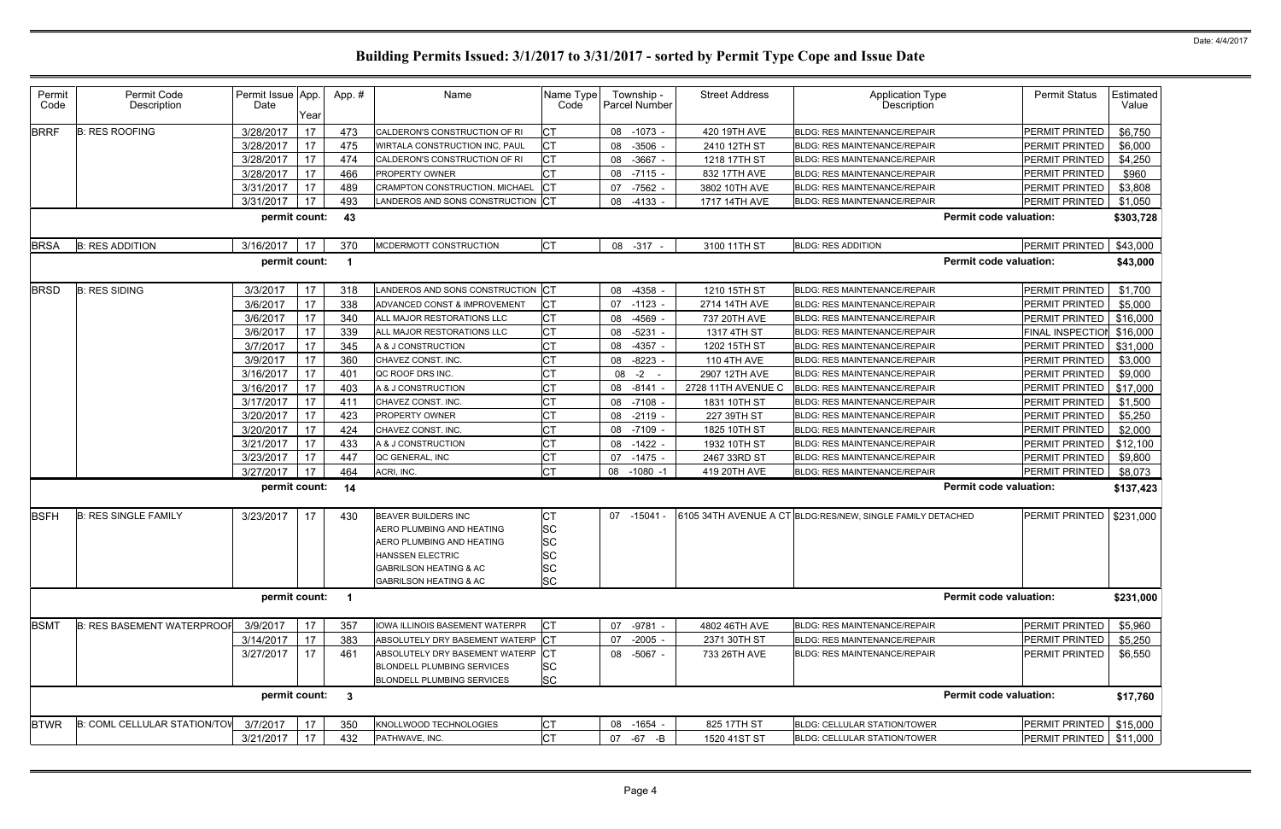| Permit<br>Code | Permit Code<br>Description          | Permit Issue App.<br>Date | Year | App.#                   | Name                                                                                                                                                                                      | Name Type<br>Code                                     |    | Township -<br>Parcel Number | <b>Street Address</b> | <b>Application Type</b><br><b>Description</b>              |                               | <b>Permit Status</b>  | Estimated<br>Value |
|----------------|-------------------------------------|---------------------------|------|-------------------------|-------------------------------------------------------------------------------------------------------------------------------------------------------------------------------------------|-------------------------------------------------------|----|-----------------------------|-----------------------|------------------------------------------------------------|-------------------------------|-----------------------|--------------------|
| <b>BRRF</b>    | <b>B: RES ROOFING</b>               | 3/28/2017                 | 17   | 473                     | CALDERON'S CONSTRUCTION OF RI                                                                                                                                                             | СT                                                    | 08 | $-1073 -$                   | 420 19TH AVE          | <b>BLDG: RES MAINTENANCE/REPAIR</b>                        |                               | PERMIT PRINTED        | \$6,750            |
|                |                                     | 3/28/2017                 | 17   | 475                     | WIRTALA CONSTRUCTION INC, PAUL                                                                                                                                                            | СT                                                    | 08 | $-3506 -$                   | 2410 12TH ST          | <b>BLDG: RES MAINTENANCE/REPAIR</b>                        |                               | PERMIT PRINTED        | \$6,000            |
|                |                                     | 3/28/2017                 | 17   | 474                     | CALDERON'S CONSTRUCTION OF RI                                                                                                                                                             | СT                                                    | 08 | $-3667 -$                   | 1218 17TH ST          | <b>BLDG: RES MAINTENANCE/REPAIR</b>                        |                               | PERMIT PRINTED        | \$4,250            |
|                |                                     | 3/28/2017                 | 17   | 466                     | PROPERTY OWNER                                                                                                                                                                            | СT                                                    | 08 | $-7115 -$                   | 832 17TH AVE          | <b>BLDG: RES MAINTENANCE/REPAIR</b>                        |                               | PERMIT PRINTED        | \$960              |
|                |                                     | 3/31/2017                 | 17   | 489                     | CRAMPTON CONSTRUCTION, MICHAEL                                                                                                                                                            | СT                                                    | 07 | $-7562 -$                   | 3802 10TH AVE         | <b>BLDG: RES MAINTENANCE/REPAIR</b>                        |                               | PERMIT PRINTED        | \$3,808            |
|                |                                     | 3/31/2017                 | 17   | 493                     | LANDEROS AND SONS CONSTRUCTION                                                                                                                                                            | <b>ICT</b>                                            | 08 | $-4133 -$                   | 1717 14TH AVE         | BLDG: RES MAINTENANCE/REPAIR                               |                               | PERMIT PRINTED        | \$1,050            |
|                |                                     | permit count:             |      | 43                      |                                                                                                                                                                                           |                                                       |    |                             |                       |                                                            | <b>Permit code valuation:</b> |                       | \$303,728          |
| <b>BRSA</b>    | <b>B: RES ADDITION</b>              | 3/16/2017                 | 17   | 370                     | MCDERMOTT CONSTRUCTION                                                                                                                                                                    | <b>CT</b>                                             |    | 08 - 317 -                  | 3100 11TH ST          | <b>BLDG: RES ADDITION</b>                                  |                               | PERMIT PRINTED        | \$43,000           |
|                |                                     | permit count:             |      | - 1                     |                                                                                                                                                                                           |                                                       |    |                             |                       |                                                            | <b>Permit code valuation:</b> |                       | \$43,000           |
| <b>BRSD</b>    | <b>B: RES SIDING</b>                | 3/3/2017                  | 17   | 318                     | LANDEROS AND SONS CONSTRUCTION                                                                                                                                                            | <b>ICT</b>                                            | 08 | $-4358 -$                   | 1210 15TH ST          | <b>BLDG: RES MAINTENANCE/REPAIR</b>                        |                               | PERMIT PRINTED        | \$1,700            |
|                |                                     | 3/6/2017                  | 17   | 338                     | ADVANCED CONST & IMPROVEMENT                                                                                                                                                              | СT                                                    | 07 | $-1123 -$                   | 2714 14TH AVE         | <b>BLDG: RES MAINTENANCE/REPAIR</b>                        |                               | PERMIT PRINTED        | \$5,000            |
|                |                                     | 3/6/2017                  | 17   | 340                     | ALL MAJOR RESTORATIONS LLC                                                                                                                                                                | СT                                                    | 08 | $-4569 -$                   | 737 20TH AVE          | <b>BLDG: RES MAINTENANCE/REPAIR</b>                        |                               | PERMIT PRINTED        | \$16,000           |
|                |                                     | 3/6/2017                  | 17   | 339                     | ALL MAJOR RESTORATIONS LLC                                                                                                                                                                | СT                                                    | 08 | $-5231$                     | 1317 4TH ST           | <b>BLDG: RES MAINTENANCE/REPAIR</b>                        |                               | FINAL INSPECTION      | \$16,000           |
|                |                                     | 3/7/2017                  | 17   | 345                     | A & J CONSTRUCTION                                                                                                                                                                        | СT                                                    | 08 | $-4357 -$                   | 1202 15TH ST          | <b>BLDG: RES MAINTENANCE/REPAIR</b>                        |                               | PERMIT PRINTED        | \$31,000           |
|                |                                     | 3/9/2017                  | 17   | 360                     | CHAVEZ CONST. INC.                                                                                                                                                                        | СT                                                    | 08 | $-8223 -$                   | <b>110 4TH AVE</b>    | <b>BLDG: RES MAINTENANCE/REPAIR</b>                        |                               | PERMIT PRINTED        | \$3,000            |
|                |                                     | 3/16/2017                 | 17   | 401                     | QC ROOF DRS INC.                                                                                                                                                                          | СT                                                    | 08 | $-2 - 1$                    | 2907 12TH AVE         | <b>BLDG: RES MAINTENANCE/REPAIR</b>                        |                               | PERMIT PRINTED        | \$9,000            |
|                |                                     | 3/16/2017                 | 17   | 403                     | A & J CONSTRUCTION                                                                                                                                                                        | СT                                                    |    | 08 -8141 -                  | 2728 11TH AVENUE C    | <b>BLDG: RES MAINTENANCE/REPAIR</b>                        |                               | PERMIT PRINTED        | \$17,000           |
|                |                                     | 3/17/2017                 | 17   | 411                     | CHAVEZ CONST. INC.                                                                                                                                                                        | СT                                                    | 08 | $-7108$                     | 1831 10TH ST          | <b>BLDG: RES MAINTENANCE/REPAIR</b>                        |                               | PERMIT PRINTED        | \$1,500            |
|                |                                     | 3/20/2017                 | 17   | 423                     | PROPERTY OWNER                                                                                                                                                                            | СT                                                    | 08 | $-2119 -$                   | 227 39TH ST           | <b>BLDG: RES MAINTENANCE/REPAIR</b>                        |                               | PERMIT PRINTED        | \$5,250            |
|                |                                     | 3/20/2017                 | 17   | 424                     | CHAVEZ CONST. INC.                                                                                                                                                                        | СT                                                    | 08 | $-7109 -$                   | 1825 10TH ST          | <b>BLDG: RES MAINTENANCE/REPAIR</b>                        |                               | PERMIT PRINTED        | \$2,000            |
|                |                                     | 3/21/2017                 | 17   | 433                     | A & J CONSTRUCTION                                                                                                                                                                        | СT                                                    | 08 | $-1422 -$                   | 1932 10TH ST          | <b>BLDG: RES MAINTENANCE/REPAIR</b>                        |                               | PERMIT PRINTED        | \$12,100           |
|                |                                     | 3/23/2017                 | 17   | 447                     | QC GENERAL, INC                                                                                                                                                                           | СT                                                    | 07 | $-1475 -$                   | 2467 33RD ST          | <b>BLDG: RES MAINTENANCE/REPAIR</b>                        |                               | PERMIT PRINTED        | \$9,800            |
|                |                                     | 3/27/2017                 | 17   | 464                     | ACRI, INC.                                                                                                                                                                                | СT                                                    | 08 | $-1080 -1$                  | 419 20TH AVE          | <b>BLDG: RES MAINTENANCE/REPAIR</b>                        |                               | PERMIT PRINTED        | \$8,073            |
|                |                                     | permit count:             |      | 14                      |                                                                                                                                                                                           |                                                       |    |                             |                       |                                                            | <b>Permit code valuation:</b> |                       | \$137,423          |
| <b>BSFH</b>    | <b>B: RES SINGLE FAMILY</b>         | 3/23/2017                 | 17   | 430                     | <b>BEAVER BUILDERS INC</b><br>AERO PLUMBING AND HEATING<br>AERO PLUMBING AND HEATING<br><b>HANSSEN ELECTRIC</b><br><b>GABRILSON HEATING &amp; AC</b><br><b>GABRILSON HEATING &amp; AC</b> | CТ<br>SC<br>SC<br><b>SC</b><br><b>SC</b><br><b>SC</b> |    | 07 -15041 -                 |                       | 6105 34TH AVENUE A CT BLDG:RES/NEW, SINGLE FAMILY DETACHED |                               | PERMIT PRINTED        | \$231,000          |
|                |                                     | permit count:             |      | $\overline{\mathbf{1}}$ |                                                                                                                                                                                           |                                                       |    |                             |                       |                                                            | <b>Permit code valuation:</b> |                       | \$231,000          |
| <b>BSMT</b>    | <b>B: RES BASEMENT WATERPROOF</b>   | 3/9/2017                  | 17   | 357                     | <b>IOWA ILLINOIS BASEMENT WATERPR</b>                                                                                                                                                     | СT                                                    | 07 | $-9781 -$                   | 4802 46TH AVE         | <b>BLDG: RES MAINTENANCE/REPAIR</b>                        |                               | PERMIT PRINTED        | \$5,960            |
|                |                                     | 3/14/2017                 | 17   | 383                     | ABSOLUTELY DRY BASEMENT WATERP                                                                                                                                                            | <b>CT</b>                                             | 07 | $-2005 -$                   | 2371 30TH ST          | <b>BLDG: RES MAINTENANCE/REPAIR</b>                        |                               | PERMIT PRINTED        | \$5,250            |
|                |                                     | 3/27/2017                 | 17   | 461                     | ABSOLUTELY DRY BASEMENT WATERP<br><b>BLONDELL PLUMBING SERVICES</b><br><b>BLONDELL PLUMBING SERVICES</b>                                                                                  | <b>CT</b><br><b>SC</b><br><b>SC</b>                   |    | 08 -5067 -                  | 733 26TH AVE          | <b>BLDG: RES MAINTENANCE/REPAIR</b>                        |                               | <b>PERMIT PRINTED</b> | \$6,550            |
|                |                                     | permit count:             |      | $\mathbf{3}$            |                                                                                                                                                                                           |                                                       |    |                             |                       |                                                            | <b>Permit code valuation:</b> |                       | \$17,760           |
| <b>BTWR</b>    | <b>B: COML CELLULAR STATION/TOV</b> | 3/7/2017                  | 17   | 350                     | KNOLLWOOD TECHNOLOGIES                                                                                                                                                                    | СT                                                    |    | 08 -1654 -                  | 825 17TH ST           | BLDG: CELLULAR STATION/TOWER                               |                               | PERMIT PRINTED        | \$15,000           |
|                |                                     | 3/21/2017                 | 17   | 432                     | PATHWAVE, INC.                                                                                                                                                                            | СT                                                    | 07 | -67 -B                      | 1520 41ST ST          | BLDG: CELLULAR STATION/TOWER                               |                               | PERMIT PRINTED        | \$11,000           |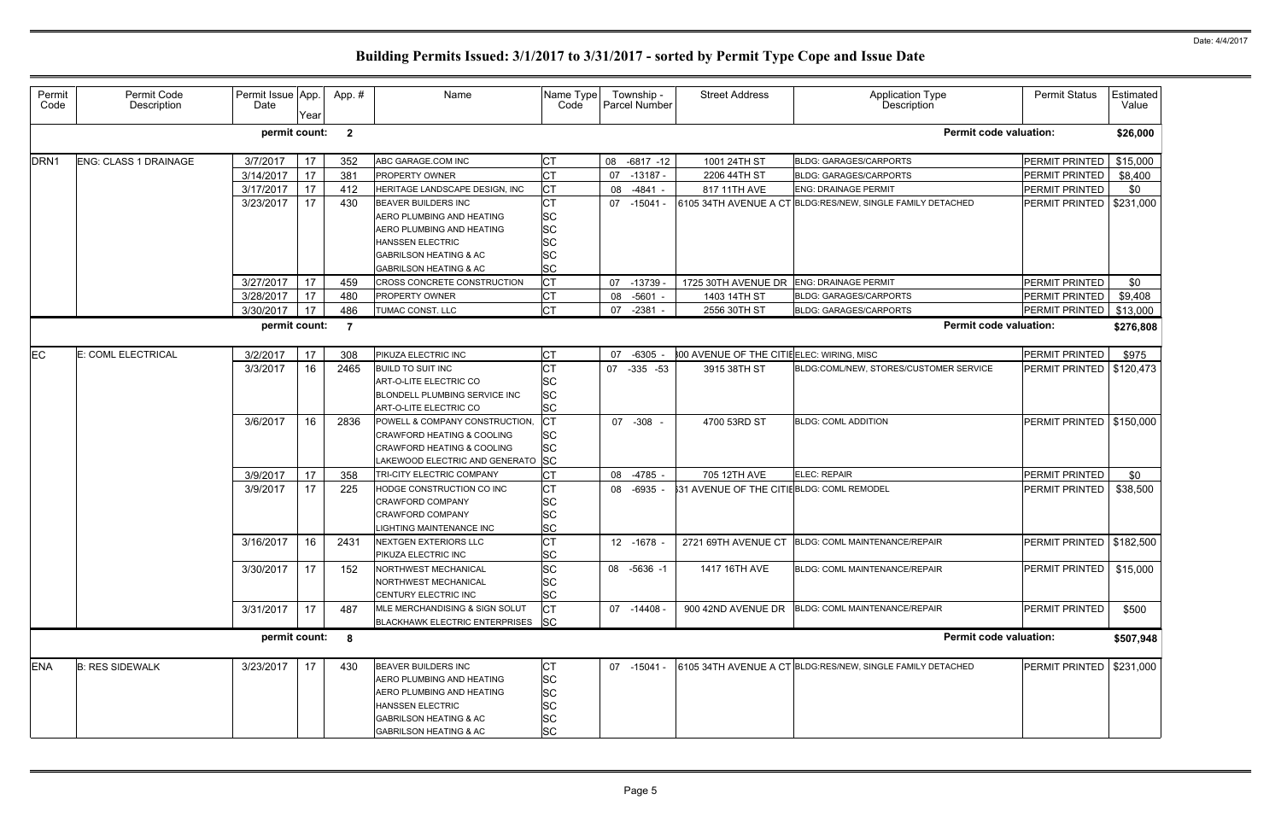| Permit<br>Code   | Permit Code<br>Description   | Permit Issue App.<br>Date | Year | App.#          | Name                                                                                                                                                                               | Name Type<br>Code                                                          |    | Township -<br>Parcel Number | <b>Street Address</b>                      | Application Type<br>Description                            | <b>Permit Status</b>       | <b>Estimated</b><br>Value |
|------------------|------------------------------|---------------------------|------|----------------|------------------------------------------------------------------------------------------------------------------------------------------------------------------------------------|----------------------------------------------------------------------------|----|-----------------------------|--------------------------------------------|------------------------------------------------------------|----------------------------|---------------------------|
|                  |                              | permit count:             |      | $\mathbf{2}$   |                                                                                                                                                                                    |                                                                            |    |                             |                                            | <b>Permit code valuation:</b>                              |                            | \$26,000                  |
| DRN <sub>1</sub> | <b>ENG: CLASS 1 DRAINAGE</b> | 3/7/2017                  | 17   | 352            | ABC GARAGE.COM INC                                                                                                                                                                 | <b>CT</b>                                                                  |    | 08 -6817 -12                | 1001 24TH ST                               | <b>BLDG: GARAGES/CARPORTS</b>                              | PERMIT PRINTED             | \$15,000                  |
|                  |                              | 3/14/2017                 | 17   | 381            | <b>PROPERTY OWNER</b>                                                                                                                                                              | <b>CT</b>                                                                  | 07 | -13187 -                    | 2206 44TH ST                               | <b>BLDG: GARAGES/CARPORTS</b>                              | PERMIT PRINTED             | \$8,400                   |
|                  |                              | 3/17/2017                 | 17   | 412            | HERITAGE LANDSCAPE DESIGN. INC                                                                                                                                                     | <b>CT</b>                                                                  | 08 | $-4841 -$                   | 817 11TH AVE                               | <b>ENG: DRAINAGE PERMIT</b>                                | PERMIT PRINTED             | \$0                       |
|                  |                              | 3/23/2017                 | 17   | 430            | BEAVER BUILDERS INC<br>AERO PLUMBING AND HEATING<br>AERO PLUMBING AND HEATING<br><b>HANSSEN ELECTRIC</b><br><b>GABRILSON HEATING &amp; AC</b><br><b>GABRILSON HEATING &amp; AC</b> | <b>CT</b><br><b>SC</b><br><b>SC</b><br><b>SC</b><br><b>SC</b><br><b>SC</b> |    | 07 -15041 -                 |                                            | 6105 34TH AVENUE A CT BLDG:RES/NEW, SINGLE FAMILY DETACHED | PERMIT PRINTED             | \$231,000                 |
|                  |                              | 3/27/2017                 | 17   | 459            | CROSS CONCRETE CONSTRUCTION                                                                                                                                                        | <b>CT</b>                                                                  | 07 | -13739                      | 1725 30TH AVENUE DR ENG: DRAINAGE PERMIT   |                                                            | PERMIT PRINTED             | \$0                       |
|                  |                              | 3/28/2017                 | 17   | 480            | PROPERTY OWNER                                                                                                                                                                     | <b>CT</b>                                                                  | 08 | $-5601 -$                   | 1403 14TH ST                               | <b>BLDG: GARAGES/CARPORTS</b>                              | PERMIT PRINTED             | \$9,408                   |
|                  |                              | 3/30/2017                 | 17   | 486            | TUMAC CONST. LLC                                                                                                                                                                   | Iст                                                                        | 07 | -2381 -                     | 2556 30TH ST                               | <b>BLDG: GARAGES/CARPORTS</b>                              | PERMIT PRINTED             | \$13,000                  |
|                  |                              | permit count:             |      | $\overline{7}$ |                                                                                                                                                                                    |                                                                            |    |                             |                                            | <b>Permit code valuation:</b>                              |                            | \$276,808                 |
| EC               | E: COML ELECTRICAL           | 3/2/2017                  | 17   | 308            | PIKUZA ELECTRIC INC                                                                                                                                                                | <b>CT</b>                                                                  | 07 | $-6305 -$                   | 800 AVENUE OF THE CITIE ELEC: WIRING, MISC |                                                            | PERMIT PRINTED             | \$975                     |
|                  |                              | 3/3/2017                  | 16   | 2465           | <b>BUILD TO SUIT INC</b><br>ART-O-LITE ELECTRIC CO<br>BLONDELL PLUMBING SERVICE INC<br>ART-O-LITE ELECTRIC CO                                                                      | <b>CT</b><br><b>SC</b><br><b>SC</b><br><b>SC</b>                           | 07 | $-335 -53$                  | 3915 38TH ST                               | BLDG:COML/NEW, STORES/CUSTOMER SERVICE                     | PERMIT PRINTED             | \$120,473                 |
|                  |                              | 3/6/2017                  | 16   | 2836           | POWELL & COMPANY CONSTRUCTION.<br><b>CRAWFORD HEATING &amp; COOLING</b><br><b>CRAWFORD HEATING &amp; COOLING</b><br>LAKEWOOD ELECTRIC AND GENERATO SC                              | <b>CT</b><br><b>SC</b><br><b>SC</b>                                        |    | 07 -308 -                   | 4700 53RD ST                               | <b>BLDG: COML ADDITION</b>                                 | PERMIT PRINTED   \$150,000 |                           |
|                  |                              | 3/9/2017                  | 17   | 358            | TRI-CITY ELECTRIC COMPANY                                                                                                                                                          | <b>CT</b>                                                                  |    | 08 -4785 -                  | 705 12TH AVE                               | ELEC: REPAIR                                               | PERMIT PRINTED             | \$0                       |
|                  |                              | 3/9/2017                  | 17   | 225            | HODGE CONSTRUCTION CO INC<br><b>CRAWFORD COMPANY</b><br><b>CRAWFORD COMPANY</b><br>LIGHTING MAINTENANCE INC                                                                        | Iст<br><b>SC</b><br><b>SC</b><br><b>SC</b>                                 |    | 08 -6935 -                  | 31 AVENUE OF THE CITIEBLDG: COML REMODEL   |                                                            | PERMIT PRINTED             | \$38,500                  |
|                  |                              | 3/16/2017                 | 16   | 2431           | <b>NEXTGEN EXTERIORS LLC</b><br>PIKUZA ELECTRIC INC                                                                                                                                | <b>CT</b><br><b>ISC</b>                                                    |    | 12 -1678 -                  |                                            | 2721 69TH AVENUE CT BLDG: COML MAINTENANCE/REPAIR          | PERMIT PRINTED   \$182,500 |                           |
|                  |                              | 3/30/2017                 | 17   | 152            | NORTHWEST MECHANICAL<br>NORTHWEST MECHANICAL<br>CENTURY ELECTRIC INC                                                                                                               | <b>SC</b><br><b>SC</b><br><b>SC</b>                                        |    | 08 -5636 -1                 | 1417 16TH AVE                              | <b>BLDG: COML MAINTENANCE/REPAIR</b>                       | PERMIT PRINTED             | \$15,000                  |
|                  |                              | 3/31/2017                 | 17   | 487            | MLE MERCHANDISING & SIGN SOLUT<br>BLACKHAWK ELECTRIC ENTERPRISES                                                                                                                   | <b>CT</b><br> SC                                                           |    | 07 -14408 -                 | 900 42ND AVENUE DR                         | <b>BLDG: COML MAINTENANCE/REPAIR</b>                       | PERMIT PRINTED             | \$500                     |
|                  |                              | permit count:             |      | 8              |                                                                                                                                                                                    |                                                                            |    |                             |                                            | <b>Permit code valuation:</b>                              |                            | \$507,948                 |
| <b>ENA</b>       | <b>B: RES SIDEWALK</b>       | 3/23/2017                 | 17   | 430            | BEAVER BUILDERS INC<br>AERO PLUMBING AND HEATING<br>AERO PLUMBING AND HEATING<br><b>HANSSEN ELECTRIC</b><br><b>GABRILSON HEATING &amp; AC</b><br>GABRILSON HEATING & AC            | <b>CT</b><br><b>SC</b><br><b>SC</b><br><b>SC</b><br><b>SC</b><br><b>SC</b> |    | 07 -15041 -                 |                                            | 6105 34TH AVENUE A CT BLDG:RES/NEW, SINGLE FAMILY DETACHED | PERMIT PRINTED             | \$231,000                 |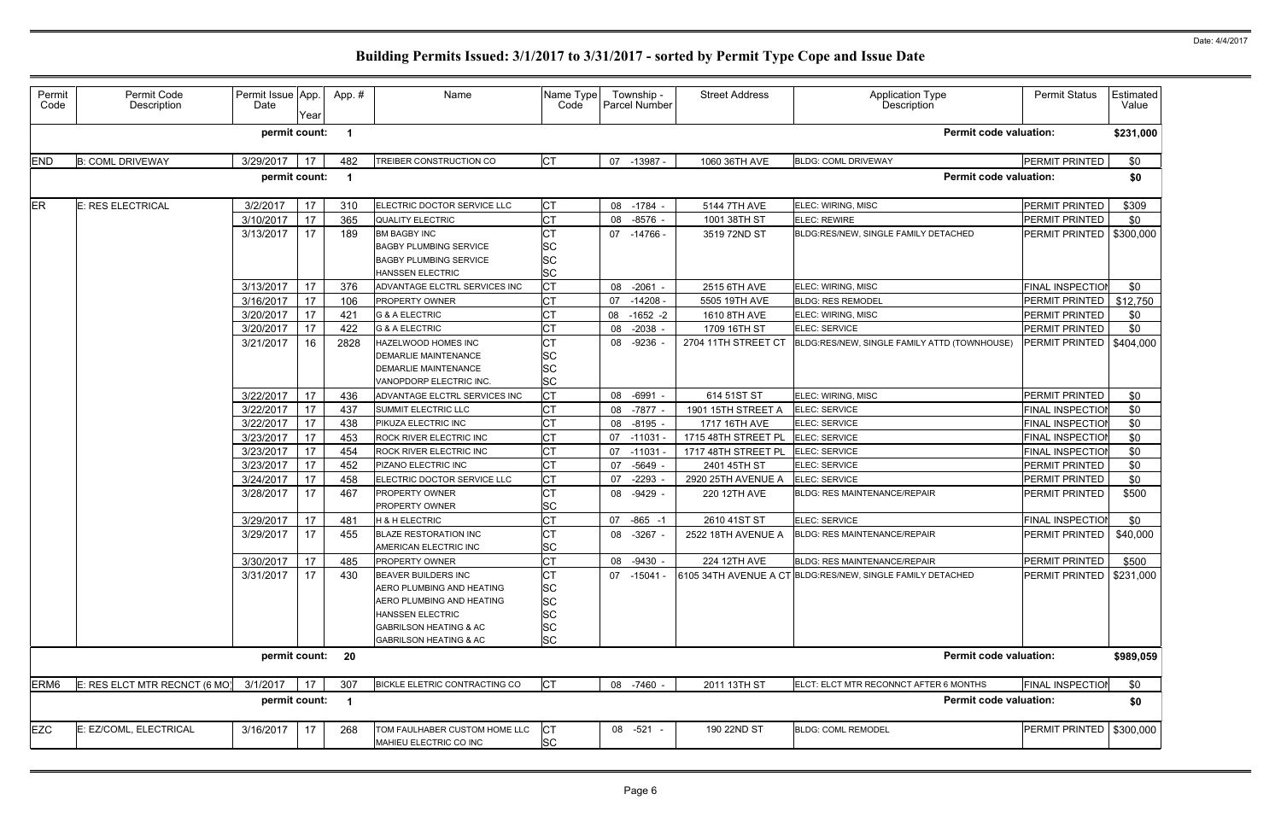| Permit<br>Code   | Permit Code<br>Description    | Permit Issue App.<br>Date | Year | App.#                   | Name                                                                                                                                                                               | Name Type<br>Code                                     | Township -<br><b>Parcel Number</b> |            | <b>Street Address</b> | Application Type<br>Description                            | <b>Permit Status</b>    | Estimated<br>Value |
|------------------|-------------------------------|---------------------------|------|-------------------------|------------------------------------------------------------------------------------------------------------------------------------------------------------------------------------|-------------------------------------------------------|------------------------------------|------------|-----------------------|------------------------------------------------------------|-------------------------|--------------------|
|                  |                               | permit count:             |      |                         |                                                                                                                                                                                    |                                                       |                                    |            |                       | <b>Permit code valuation:</b>                              |                         | \$231,000          |
| <b>END</b>       | <b>B: COML DRIVEWAY</b>       | 3/29/2017                 | 17   | 482                     | TREIBER CONSTRUCTION CO                                                                                                                                                            | <b>CT</b>                                             | 07                                 | -13987 -   | 1060 36TH AVE         | <b>BLDG: COML DRIVEWAY</b>                                 | PERMIT PRINTED          | \$0                |
|                  |                               | permit count:             |      |                         |                                                                                                                                                                                    |                                                       |                                    |            |                       | <b>Permit code valuation:</b>                              |                         | \$0                |
| <b>ER</b>        | E: RES ELECTRICAL             | 3/2/2017                  | 17   | 310                     | ELECTRIC DOCTOR SERVICE LLC                                                                                                                                                        | СT                                                    | 08                                 | $-1784 -$  | 5144 7TH AVE          | ELEC: WIRING, MISC                                         | PERMIT PRINTED          | \$309              |
|                  |                               | 3/10/2017                 | 17   | 365                     | <b>QUALITY ELECTRIC</b>                                                                                                                                                            | СT                                                    | 08                                 | $-8576 -$  | 1001 38TH ST          | ELEC: REWIRE                                               | PERMIT PRINTED          | \$0                |
|                  |                               | 3/13/2017                 | 17   | 189                     | <b>BM BAGBY INC</b><br><b>BAGBY PLUMBING SERVICE</b><br><b>BAGBY PLUMBING SERVICE</b><br><b>HANSSEN ELECTRIC</b>                                                                   | СT<br>SC<br><b>SC</b><br>SC                           | 07 -14766 -                        |            | 3519 72ND ST          | BLDG:RES/NEW, SINGLE FAMILY DETACHED                       | PERMIT PRINTED          | \$300,000          |
|                  |                               | 3/13/2017                 | 17   | 376                     | ADVANTAGE ELCTRL SERVICES INC                                                                                                                                                      | СT                                                    | 08                                 | $-2061 -$  | 2515 6TH AVE          | ELEC: WIRING, MISC                                         | FINAL INSPECTION        | \$0                |
|                  |                               | 3/16/2017                 | 17   | 106                     | <b>PROPERTY OWNER</b>                                                                                                                                                              | СT                                                    | 07                                 | $-14208 -$ | 5505 19TH AVE         | <b>BLDG: RES REMODEL</b>                                   | <b>PERMIT PRINTED</b>   | \$12,750           |
|                  |                               | 3/20/2017                 | 17   | 421                     | <b>G &amp; A ELECTRIC</b>                                                                                                                                                          | СT                                                    | 08                                 | $-1652 -2$ | 1610 8TH AVE          | ELEC: WIRING, MISC                                         | PERMIT PRINTED          | \$0                |
|                  |                               | 3/20/2017                 | 17   | 422                     | <b>G &amp; A ELECTRIC</b>                                                                                                                                                          | СT                                                    | 08                                 | $-2038 -$  | 1709 16TH ST          | ELEC: SERVICE                                              | PERMIT PRINTED          | \$0                |
|                  |                               | 3/21/2017                 | 16   | 2828                    | HAZELWOOD HOMES INC<br><b>DEMARLIE MAINTENANCE</b><br><b>DEMARLIE MAINTENANCE</b><br>VANOPDORP ELECTRIC INC.                                                                       | СT<br>SC<br>SC<br><b>SC</b>                           | 08 -9236 -                         |            | 2704 11TH STREET CT   | BLDG:RES/NEW, SINGLE FAMILY ATTD (TOWNHOUSE)               | PERMIT PRINTED          | \$404,000          |
|                  |                               | 3/22/2017                 | 17   | 436                     | ADVANTAGE ELCTRL SERVICES INC                                                                                                                                                      | СT                                                    | 08<br>$-6991$                      |            | 614 51ST ST           | ELEC: WIRING, MISC                                         | PERMIT PRINTED          | \$0                |
|                  |                               | 3/22/2017                 | 17   | 437                     | SUMMIT ELECTRIC LLC                                                                                                                                                                | CТ                                                    | 08                                 | $-7877 -$  | 1901 15TH STREET A    | ELEC: SERVICE                                              | <b>FINAL INSPECTIO</b>  | \$0                |
|                  |                               | 3/22/2017                 | 17   | 438                     | PIKUZA ELECTRIC INC                                                                                                                                                                | СT                                                    | 08                                 | $-8195 -$  | 1717 16TH AVE         | <b>ELEC: SERVICE</b>                                       | <b>FINAL INSPECTIOI</b> | \$0                |
|                  |                               | 3/23/2017                 | 17   | 453                     | ROCK RIVER ELECTRIC INC                                                                                                                                                            | СT                                                    | 07<br>$-11031$                     |            | 1715 48TH STREET PL   | ELEC: SERVICE                                              | <b>FINAL INSPECTIOI</b> | \$0                |
|                  |                               | 3/23/2017                 | 17   | 454                     | ROCK RIVER ELECTRIC INC                                                                                                                                                            | СT                                                    | 07                                 | -11031 -   | 1717 48TH STREET PL   | ELEC: SERVICE                                              | <b>FINAL INSPECTIOI</b> | \$0                |
|                  |                               | 3/23/2017                 | 17   | 452                     | PIZANO ELECTRIC INC                                                                                                                                                                | СT                                                    | 07                                 | $-5649 -$  | 2401 45TH ST          | ELEC: SERVICE                                              | PERMIT PRINTED          | \$0                |
|                  |                               | 3/24/2017                 | 17   | 458                     | ELECTRIC DOCTOR SERVICE LLC                                                                                                                                                        | СT                                                    | 07                                 | $-2293$    | 2920 25TH AVENUE A    | ELEC: SERVICE                                              | PERMIT PRINTED          | \$0                |
|                  |                               | 3/28/2017                 | 17   | 467                     | PROPERTY OWNER<br>PROPERTY OWNER                                                                                                                                                   | СT<br>SC                                              | 08 -9429 -                         |            | 220 12TH AVE          | <b>BLDG: RES MAINTENANCE/REPAIR</b>                        | <b>PERMIT PRINTED</b>   | \$500              |
|                  |                               | 3/29/2017                 | 17   | 481                     | H & H ELECTRIC                                                                                                                                                                     | СT                                                    | 07                                 | $-865 - 1$ | 2610 41ST ST          | ELEC: SERVICE                                              | <b>FINAL INSPECTIOI</b> | \$0                |
|                  |                               | 3/29/2017                 | 17   | 455                     | <b>BLAZE RESTORATION INC</b><br>AMERICAN ELECTRIC INC                                                                                                                              | СT<br><b>SC</b>                                       | 08                                 | $-3267 -$  | 2522 18TH AVENUE A    | <b>BLDG: RES MAINTENANCE/REPAIR</b>                        | <b>PERMIT PRINTED</b>   | \$40,000           |
|                  |                               | 3/30/2017                 | 17   | 485                     | PROPERTY OWNER                                                                                                                                                                     | <b>CT</b>                                             | 08                                 | -9430 -    | 224 12TH AVE          | <b>BLDG: RES MAINTENANCE/REPAIR</b>                        | PERMIT PRINTED          | \$500              |
|                  |                               | 3/31/2017                 | 17   | 430                     | <b>BEAVER BUILDERS INC</b><br>AERO PLUMBING AND HEATING<br>AERO PLUMBING AND HEATING<br>HANSSEN ELECTRIC<br><b>GABRILSON HEATING &amp; AC</b><br><b>GABRILSON HEATING &amp; AC</b> | СT<br><b>SC</b><br><b>SC</b><br>SC<br><b>SC</b><br>SC | 07 -15041 -                        |            |                       | 6105 34TH AVENUE A CT BLDG:RES/NEW, SINGLE FAMILY DETACHED | PERMIT PRINTED          | \$231,000          |
|                  |                               | permit count: 20          |      |                         |                                                                                                                                                                                    |                                                       |                                    |            |                       | <b>Permit code valuation:</b>                              |                         | \$989,059          |
| ERM <sub>6</sub> | E: RES ELCT MTR RECNCT (6 MO) | 3/1/2017                  | 17   | 307                     | BICKLE ELETRIC CONTRACTING CO                                                                                                                                                      | <b>CT</b>                                             | 08 -7460 -                         |            | 2011 13TH ST          | ELCT: ELCT MTR RECONNCT AFTER 6 MONTHS                     | <b>FINAL INSPECTIOI</b> | \$0                |
|                  |                               | permit count:             |      | $\overline{\mathbf{1}}$ |                                                                                                                                                                                    |                                                       |                                    |            |                       | <b>Permit code valuation:</b>                              |                         | \$0                |
| <b>EZC</b>       | E: EZ/COML, ELECTRICAL        | 3/16/2017                 | 17   | 268                     | TOM FAULHABER CUSTOM HOME LLC<br>MAHIEU ELECTRIC CO INC                                                                                                                            | СT<br><b>SC</b>                                       | 08 -521 -                          |            | 190 22ND ST           | <b>BLDG: COML REMODEL</b>                                  | PERMIT PRINTED          | \$300,000          |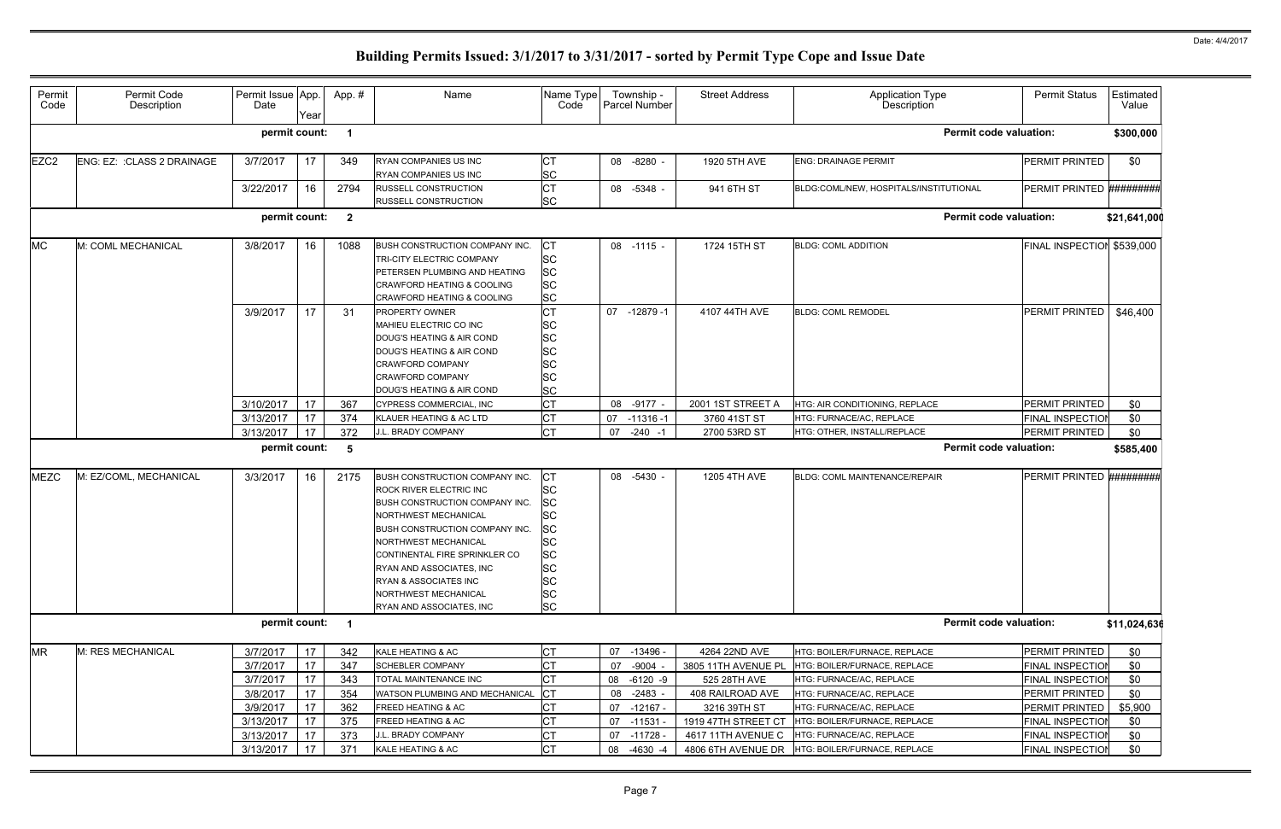| Permit<br>Code   | Permit Code<br>Description  | Permit Issue App.<br>Date | Year | App.#          | Name                                                                                                                                                                                                                                                                                                                                         | Name Type<br>Code                                                                          |    | Township -<br><b>Parcel Number</b> | <b>Street Address</b> | <b>Application Type</b><br>Description | <b>Permit Status</b>       | Estimated<br>Value |
|------------------|-----------------------------|---------------------------|------|----------------|----------------------------------------------------------------------------------------------------------------------------------------------------------------------------------------------------------------------------------------------------------------------------------------------------------------------------------------------|--------------------------------------------------------------------------------------------|----|------------------------------------|-----------------------|----------------------------------------|----------------------------|--------------------|
|                  |                             | permit count:             |      |                |                                                                                                                                                                                                                                                                                                                                              |                                                                                            |    |                                    |                       | <b>Permit code valuation:</b>          |                            | \$300,000          |
| EZC <sub>2</sub> | ENG: EZ: : CLASS 2 DRAINAGE | 3/7/2017                  | 17   | 349            | RYAN COMPANIES US INC<br>RYAN COMPANIES US INC                                                                                                                                                                                                                                                                                               | СT<br>SC                                                                                   |    | 08 -8280 -                         | 1920 5TH AVE          | <b>ENG: DRAINAGE PERMIT</b>            | <b>PERMIT PRINTED</b>      | \$0                |
|                  |                             | 3/22/2017                 | 16   | 2794           | RUSSELL CONSTRUCTION<br>RUSSELL CONSTRUCTION                                                                                                                                                                                                                                                                                                 | СT<br>SC                                                                                   |    | 08 -5348 -                         | 941 6TH ST            | BLDG:COML/NEW, HOSPITALS/INSTITUTIONAL | PERMIT PRINTED #########   |                    |
|                  |                             | permit count:             |      | $\overline{2}$ |                                                                                                                                                                                                                                                                                                                                              |                                                                                            |    |                                    |                       | <b>Permit code valuation:</b>          |                            | \$21,641,000       |
| <b>MC</b>        | M: COML MECHANICAL          | 3/8/2017                  | 16   | 1088           | BUSH CONSTRUCTION COMPANY INC.<br>TRI-CITY ELECTRIC COMPANY<br>PETERSEN PLUMBING AND HEATING<br><b>CRAWFORD HEATING &amp; COOLING</b><br>CRAWFORD HEATING & COOLING                                                                                                                                                                          | СT<br><b>SC</b><br>SC<br>SC<br><b>SC</b>                                                   |    | $08 - 1115 -$                      | 1724 15TH ST          | <b>BLDG: COML ADDITION</b>             | FINAL INSPECTION \$539,000 |                    |
|                  |                             | 3/9/2017                  | 17   | 31             | PROPERTY OWNER<br>MAHIEU ELECTRIC CO INC<br>DOUG'S HEATING & AIR COND<br>DOUG'S HEATING & AIR COND<br><b>CRAWFORD COMPANY</b><br><b>CRAWFORD COMPANY</b><br>DOUG'S HEATING & AIR COND                                                                                                                                                        | СT<br>SC<br><b>SC</b><br>SC<br>SC<br>SC<br><b>SC</b>                                       | 07 | $-12879-1$                         | 4107 44TH AVE         | <b>BLDG: COML REMODEL</b>              | PERMIT PRINTED             | \$46,400           |
|                  |                             | 3/10/2017                 | 17   | 367            | CYPRESS COMMERCIAL, INC                                                                                                                                                                                                                                                                                                                      | СT                                                                                         | 08 | $-9177 -$                          | 2001 1ST STREET A     | HTG: AIR CONDITIONING, REPLACE         | PERMIT PRINTED             | \$0                |
|                  |                             | 3/13/2017                 | 17   | 374            | KLAUER HEATING & AC LTD                                                                                                                                                                                                                                                                                                                      | СT                                                                                         | 07 | $-11316-1$                         | 3760 41ST ST          | HTG: FURNACE/AC, REPLACE               | <b>FINAL INSPECTIOI</b>    | \$0                |
|                  |                             | 3/13/2017                 | 17   | 372            | J.L. BRADY COMPANY                                                                                                                                                                                                                                                                                                                           | <b>CT</b>                                                                                  | 07 | $-240 - 1$                         | 2700 53RD ST          | HTG: OTHER, INSTALL/REPLACE            | PERMIT PRINTED             | \$0                |
|                  |                             | permit count:             |      | 5              |                                                                                                                                                                                                                                                                                                                                              |                                                                                            |    |                                    |                       | <b>Permit code valuation:</b>          |                            | \$585,400          |
| <b>MEZC</b>      | M: EZ/COML, MECHANICAL      | 3/3/2017                  | 16   | 2175           | BUSH CONSTRUCTION COMPANY INC.<br><b>ROCK RIVER ELECTRIC INC</b><br><b>BUSH CONSTRUCTION COMPANY INC.</b><br>NORTHWEST MECHANICAL<br><b>BUSH CONSTRUCTION COMPANY INC.</b><br>NORTHWEST MECHANICAL<br>CONTINENTAL FIRE SPRINKLER CO<br>RYAN AND ASSOCIATES, INC<br>RYAN & ASSOCIATES INC<br>NORTHWEST MECHANICAL<br>RYAN AND ASSOCIATES, INC | CТ<br>SC<br>SC<br>SC<br>SC<br>SC<br><b>SC</b><br>SC<br><b>SC</b><br><b>SC</b><br><b>SC</b> |    | 08 -5430 -                         | 1205 4TH AVE          | BLDG: COML MAINTENANCE/REPAIR          | PERMIT PRINTED #########   |                    |
|                  |                             | permit count: 1           |      |                |                                                                                                                                                                                                                                                                                                                                              |                                                                                            |    |                                    |                       | <b>Permit code valuation:</b>          |                            | \$11,024,636       |
| <b>MR</b>        | M: RES MECHANICAL           | 3/7/2017                  | 17   | 342            | KALE HEATING & AC                                                                                                                                                                                                                                                                                                                            | СT                                                                                         | 07 | $-13496 -$                         | 4264 22ND AVE         | HTG: BOILER/FURNACE, REPLACE           | PERMIT PRINTED             | \$0                |
|                  |                             | 3/7/2017                  | 17   | 347            | <b>SCHEBLER COMPANY</b>                                                                                                                                                                                                                                                                                                                      | СT                                                                                         | 07 | $-9004 -$                          | 3805 11TH AVENUE PL   | HTG: BOILER/FURNACE, REPLACE           | <b>FINAL INSPECTION</b>    | \$0                |
|                  |                             | 3/7/2017                  | 17   | 343            | TOTAL MAINTENANCE INC                                                                                                                                                                                                                                                                                                                        | СT                                                                                         | 08 | $-6120 -9$                         | 525 28TH AVE          | HTG: FURNACE/AC, REPLACE               | <b>FINAL INSPECTION</b>    | \$0                |
|                  |                             | 3/8/2017                  | 17   | 354            | WATSON PLUMBING AND MECHANICAL                                                                                                                                                                                                                                                                                                               | <b>CT</b>                                                                                  | 08 | $-2483 -$                          | 408 RAILROAD AVE      | HTG: FURNACE/AC, REPLACE               | PERMIT PRINTED             | \$0                |
|                  |                             | 3/9/2017                  | 17   | 362            | <b>FREED HEATING &amp; AC</b>                                                                                                                                                                                                                                                                                                                | СT                                                                                         | 07 | $-12167 -$                         | 3216 39TH ST          | HTG: FURNACE/AC, REPLACE               | PERMIT PRINTED             | \$5,900            |
|                  |                             | 3/13/2017                 | 17   | 375            | FREED HEATING & AC                                                                                                                                                                                                                                                                                                                           | СT                                                                                         | 07 | $-11531$                           | 1919 47TH STREET CT   | HTG: BOILER/FURNACE, REPLACE           | <b>FINAL INSPECTION</b>    | \$0                |
|                  |                             | 3/13/2017                 | 17   | 373            | J.L. BRADY COMPANY                                                                                                                                                                                                                                                                                                                           | СT                                                                                         | 07 | -11728 -                           | 4617 11TH AVENUE C    | HTG: FURNACE/AC, REPLACE               | <b>FINAL INSPECTION</b>    | \$0                |
|                  |                             | 3/13/2017                 | 17   | 371            | KALE HEATING & AC                                                                                                                                                                                                                                                                                                                            | СT                                                                                         | 08 | $-4630 -4$                         | 4806 6TH AVENUE DR    | HTG: BOILER/FURNACE, REPLACE           | <b>FINAL INSPECTION</b>    | \$0                |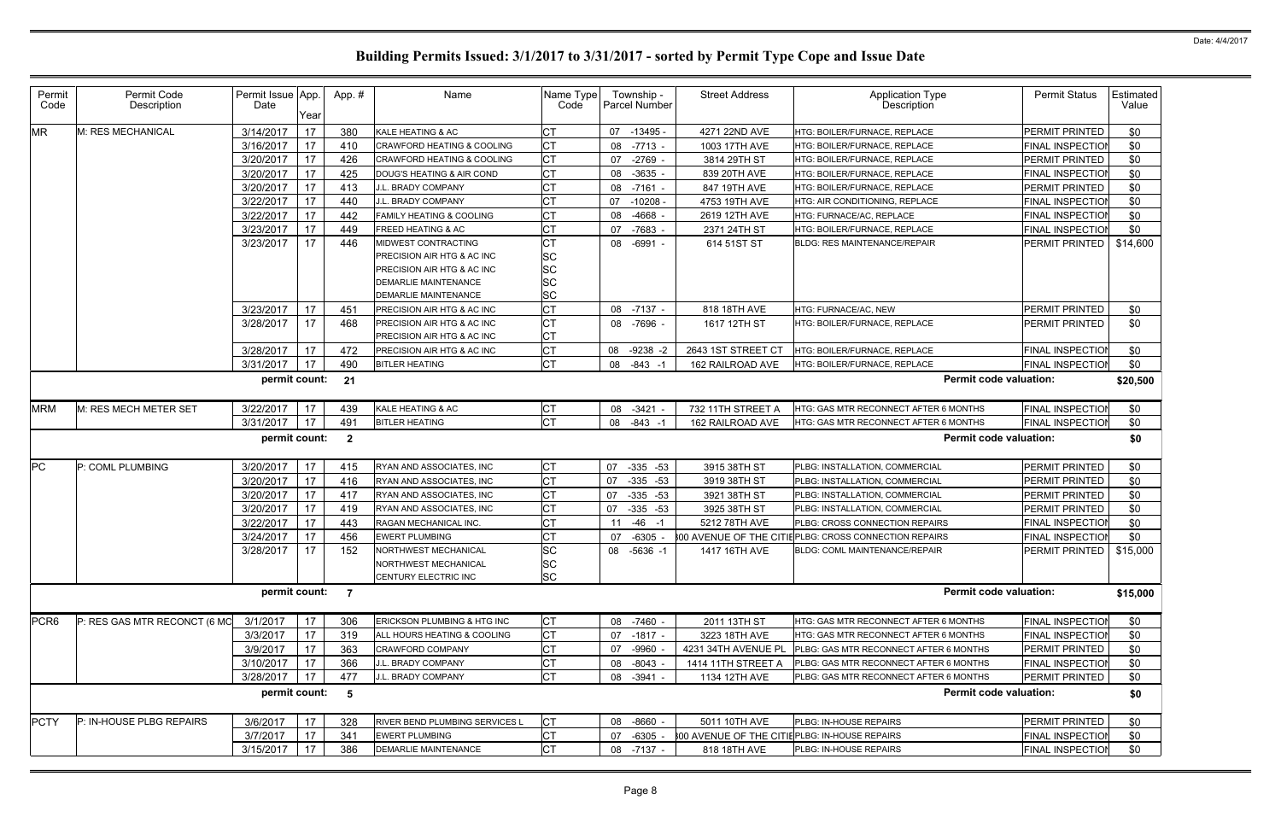| Permit<br>Code   | Permit Code<br>Description   | Permit Issue App.<br>Date | Year | App.#          | Name                                  | Name Type<br>Code | Township -<br><b>Parcel Number</b> |             | <b>Street Address</b>                          | <b>Application Type</b><br>Description                 | <b>Permit Status</b>      | Estimated<br>Value |
|------------------|------------------------------|---------------------------|------|----------------|---------------------------------------|-------------------|------------------------------------|-------------|------------------------------------------------|--------------------------------------------------------|---------------------------|--------------------|
| <b>MR</b>        | M: RES MECHANICAL            | 3/14/2017                 | 17   | 380            | KALE HEATING & AC                     | СT                | -13495 -<br>07                     |             | 4271 22ND AVE                                  | HTG: BOILER/FURNACE, REPLACE                           | PERMIT PRINTED            | \$0                |
|                  |                              | 3/16/2017                 | 17   | 410            | <b>CRAWFORD HEATING &amp; COOLING</b> | СT                | 08                                 | $-7713 -$   | 1003 17TH AVE                                  | HTG: BOILER/FURNACE, REPLACE                           | <b>FINAL INSPECTIOI</b>   | \$0                |
|                  |                              | 3/20/2017                 | 17   | 426            | <b>CRAWFORD HEATING &amp; COOLING</b> | СT                | -2769<br>07                        |             | 3814 29TH ST                                   | HTG: BOILER/FURNACE, REPLACE                           | PERMIT PRINTED            | \$0                |
|                  |                              | 3/20/2017                 | 17   | 425            | DOUG'S HEATING & AIR COND             | СT                | $-3635$<br>08                      |             | 839 20TH AVE                                   | HTG: BOILER/FURNACE, REPLACE                           | <b>FINAL INSPECTIO</b>    | \$0                |
|                  |                              | 3/20/2017                 | 17   | 413            | J.L. BRADY COMPANY                    | СT                | 08                                 | -7161 -     | 847 19TH AVE                                   | HTG: BOILER/FURNACE, REPLACE                           | PERMIT PRINTED            | \$0                |
|                  |                              | 3/22/2017                 | 17   | 440            | J.L. BRADY COMPANY                    | СT                | $-10208$<br>07                     |             | 4753 19TH AVE                                  | HTG: AIR CONDITIONING, REPLACE                         | <b>FINAL INSPECTIO</b>    | \$0                |
|                  |                              | 3/22/2017                 | 17   | 442            | <b>FAMILY HEATING &amp; COOLING</b>   | CТ                | 08                                 | $-4668 -$   | 2619 12TH AVE                                  | HTG: FURNACE/AC. REPLACE                               | <b>FINAL INSPECTIOI</b>   | \$0                |
|                  |                              | 3/23/2017                 | 17   | 449            | FREED HEATING & AC                    | СT                | $-7683$<br>07                      |             | 2371 24TH ST                                   | HTG: BOILER/FURNACE, REPLACE                           | FINAL INSPECTIOI          | \$0                |
|                  |                              | 3/23/2017                 | 17   | 446            | MIDWEST CONTRACTING                   | CТ                | 08                                 | $-6991 -$   | 614 51ST ST                                    | <b>BLDG: RES MAINTENANCE/REPAIR</b>                    | PERMIT PRINTED            | \$14,600           |
|                  |                              |                           |      |                | <b>PRECISION AIR HTG &amp; AC INC</b> | SC                |                                    |             |                                                |                                                        |                           |                    |
|                  |                              |                           |      |                | PRECISION AIR HTG & AC INC            | SC                |                                    |             |                                                |                                                        |                           |                    |
|                  |                              |                           |      |                | DEMARLIE MAINTENANCE                  | SC                |                                    |             |                                                |                                                        |                           |                    |
|                  |                              |                           |      |                | <b>DEMARLIE MAINTENANCE</b>           | SC                |                                    |             |                                                |                                                        |                           |                    |
|                  |                              | 3/23/2017                 | 17   | 451            | <b>PRECISION AIR HTG &amp; AC INC</b> | СT                | 08                                 | $-7137 -$   | 818 18TH AVE                                   | HTG: FURNACE/AC, NEW                                   | PERMIT PRINTED            | \$0                |
|                  |                              | 3/28/2017                 | 17   | 468            | PRECISION AIR HTG & AC INC            | <b>CT</b>         | 08 -7696 -                         |             | 1617 12TH ST                                   | HTG: BOILER/FURNACE, REPLACE                           | <b>PERMIT PRINTED</b>     | \$0                |
|                  |                              |                           |      |                | PRECISION AIR HTG & AC INC            | СT                |                                    |             |                                                |                                                        |                           |                    |
|                  |                              | 3/28/2017                 | 17   | 472            | PRECISION AIR HTG & AC INC            | <b>CT</b>         | 08                                 | $-9238 - 2$ | 2643 1ST STREET CT                             | HTG: BOILER/FURNACE, REPLACE                           | <b>FINAL INSPECTIOI</b>   | \$0                |
|                  |                              | 3/31/2017                 | 17   | 490            | <b>BITLER HEATING</b>                 | СT                | 08                                 | $-843 - 1$  | 162 RAILROAD AVE                               | HTG: BOILER/FURNACE, REPLACE                           | <b>FINAL INSPECTIOI</b>   | \$0                |
|                  |                              | permit count:             |      | 21             |                                       |                   |                                    |             |                                                | <b>Permit code valuation:</b>                          |                           | \$20,500           |
| <b>MRM</b>       | M: RES MECH METER SET        | 3/22/2017                 | 17   | 439            | KALE HEATING & AC                     | СT                | $-3421$<br>08                      |             | 732 11TH STREET A                              | HTG: GAS MTR RECONNECT AFTER 6 MONTHS                  | <b>FINAL INSPECTIOI</b>   | \$0                |
|                  |                              | 3/31/2017                 | 17   | 491            | <b>BITLER HEATING</b>                 | <b>CT</b>         | 08                                 | -843 -1     | 162 RAILROAD AVE                               | HTG: GAS MTR RECONNECT AFTER 6 MONTHS                  | <b>FINAL INSPECTIOI</b>   | \$0                |
|                  |                              | permit count:             |      | $\overline{2}$ |                                       |                   |                                    |             |                                                | <b>Permit code valuation:</b>                          |                           | \$0                |
| <b>PC</b>        | P: COML PLUMBING             | 3/20/2017                 | 17   | 415            | RYAN AND ASSOCIATES, INC              | СT                | 07                                 | $-335 -53$  | 3915 38TH ST                                   | PLBG: INSTALLATION, COMMERCIAL                         | PERMIT PRINTED            | \$0                |
|                  |                              | 3/20/2017                 | 17   | 416            | RYAN AND ASSOCIATES, INC              | СT                | 07                                 | $-335 -53$  | 3919 38TH ST                                   | PLBG: INSTALLATION, COMMERCIAL                         | PERMIT PRINTED            | \$0                |
|                  |                              | 3/20/2017                 | 17   | 417            | RYAN AND ASSOCIATES, INC              | СT                | 07                                 | $-335 -53$  | 3921 38TH ST                                   | PLBG: INSTALLATION, COMMERCIAL                         | PERMIT PRINTED            | \$0                |
|                  |                              | 3/20/2017                 | 17   | 419            | RYAN AND ASSOCIATES, INC              | СT                | 07                                 | $-335 -53$  | 3925 38TH ST                                   | PLBG: INSTALLATION, COMMERCIAL                         | PERMIT PRINTED            | \$0                |
|                  |                              | 3/22/2017                 | 17   | 443            | RAGAN MECHANICAL INC.                 | СT                | 11                                 | $-46 - 1$   | 5212 78TH AVE                                  | PLBG: CROSS CONNECTION REPAIRS                         | <b>FINAL INSPECTIOI</b>   | \$0                |
|                  |                              | 3/24/2017                 | 17   | 456            | <b>EWERT PLUMBING</b>                 | СT                | $-6305$<br>07                      |             |                                                | 800 AVENUE OF THE CITIE PLBG: CROSS CONNECTION REPAIRS | <b>FINAL INSPECTIOI</b>   | \$0                |
|                  |                              | 3/28/2017 17              |      | 152            | NORTHWEST MECHANICAL                  | SC                | 08 -5636 -1                        |             | 1417 16TH AVE                                  | BLDG: COML MAINTENANCE/REPAIR                          | PERMIT PRINTED   \$15,000 |                    |
|                  |                              |                           |      |                | NORTHWEST MECHANICAL                  | <b>SC</b>         |                                    |             |                                                |                                                        |                           |                    |
|                  |                              |                           |      |                | CENTURY ELECTRIC INC                  | <b>SC</b>         |                                    |             |                                                |                                                        |                           |                    |
|                  |                              | permit count:             |      | $\overline{7}$ |                                       |                   |                                    |             |                                                | <b>Permit code valuation:</b>                          |                           | \$15,000           |
| PCR <sub>6</sub> | P: RES GAS MTR RECONCT (6 MO | 3/1/2017                  | 17   | 306            | ERICKSON PLUMBING & HTG INC           | СT                | 08 -7460 -                         |             | 2011 13TH ST                                   | HTG: GAS MTR RECONNECT AFTER 6 MONTHS                  | <b>FINAL INSPECTIOI</b>   | \$0                |
|                  |                              | 3/3/2017                  | 17   | 319            | ALL HOURS HEATING & COOLING           | СT                | 07                                 | -1817 -     | 3223 18TH AVE                                  | HTG: GAS MTR RECONNECT AFTER 6 MONTHS                  | <b>FINAL INSPECTIO</b>    | \$0                |
|                  |                              | 3/9/2017                  | 17   | 363            | <b>CRAWFORD COMPANY</b>               | СT                | -9960<br>07                        |             | 4231 34TH AVENUE PL                            | PLBG: GAS MTR RECONNECT AFTER 6 MONTHS                 | PERMIT PRINTED            | \$0                |
|                  |                              | 3/10/2017                 | 17   | 366            | J.L. BRADY COMPANY                    | СT                | -8043<br>08                        |             | 1414 11TH STREET A                             | PLBG: GAS MTR RECONNECT AFTER 6 MONTHS                 | <b>FINAL INSPECTIOI</b>   | \$0                |
|                  |                              | 3/28/2017                 | 17   | 477            | J.L. BRADY COMPANY                    | СT                | 08 -3941 -                         |             | 1134 12TH AVE                                  | PLBG: GAS MTR RECONNECT AFTER 6 MONTHS                 | PERMIT PRINTED            | \$0                |
|                  |                              | permit count:             |      | 5              |                                       |                   |                                    |             |                                                | <b>Permit code valuation:</b>                          |                           | \$0                |
| <b>PCTY</b>      | P: IN-HOUSE PLBG REPAIRS     | 3/6/2017                  | 17   | 328            | RIVER BEND PLUMBING SERVICES L        | <b>CT</b>         | 08 -8660 -                         |             | 5011 10TH AVE                                  | PLBG: IN-HOUSE REPAIRS                                 | PERMIT PRINTED            | \$0                |
|                  |                              | 3/7/2017                  | 17   | 341            | <b>EWERT PLUMBING</b>                 | СT                | -6305<br>07                        |             | 800 AVENUE OF THE CITIE PLBG: IN-HOUSE REPAIRS |                                                        | <b>FINAL INSPECTIOI</b>   | \$0                |
|                  |                              | 3/15/2017                 | 17   | 386            | <b>DEMARLIE MAINTENANCE</b>           | СT                | 08 -7137 -                         |             | 818 18TH AVE                                   | PLBG: IN-HOUSE REPAIRS                                 | <b>FINAL INSPECTION</b>   | \$0                |
|                  |                              |                           |      |                |                                       |                   |                                    |             |                                                |                                                        |                           |                    |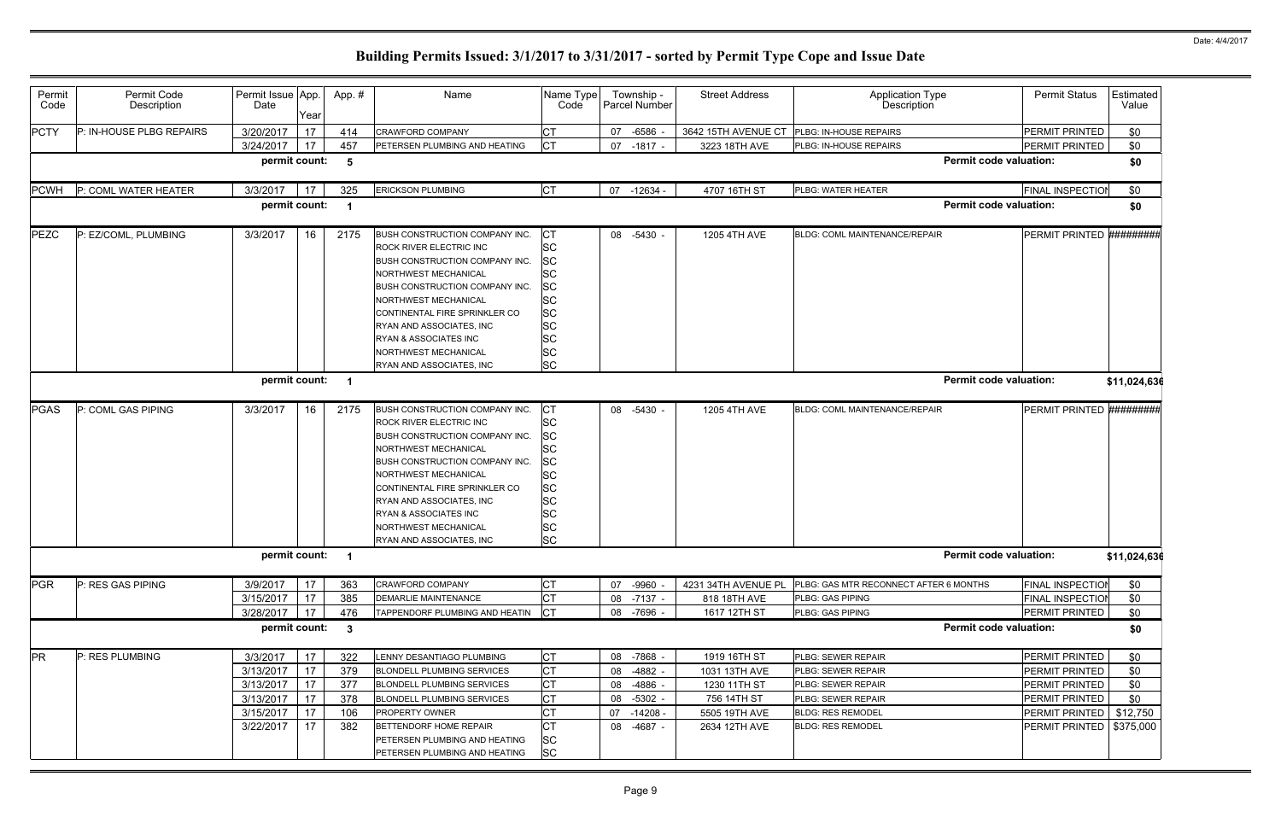| Permit<br>Code | Permit Code<br>Description | Permit Issue App.<br>Date                       | Year                 | App.#                    | Name                                                                                                                                                                                                                                                                                                                                                | Name Type<br>Code                                                                                                                           |                      | Township -<br>Parcel Number                    | <b>Street Address</b>                                        | <b>Application Type</b><br>Description                                               | <b>Permit Status</b>                                                 | Estimated<br>Value       |
|----------------|----------------------------|-------------------------------------------------|----------------------|--------------------------|-----------------------------------------------------------------------------------------------------------------------------------------------------------------------------------------------------------------------------------------------------------------------------------------------------------------------------------------------------|---------------------------------------------------------------------------------------------------------------------------------------------|----------------------|------------------------------------------------|--------------------------------------------------------------|--------------------------------------------------------------------------------------|----------------------------------------------------------------------|--------------------------|
| <b>PCTY</b>    | P: IN-HOUSE PLBG REPAIRS   | 3/20/2017                                       | 17                   | 414                      | CRAWFORD COMPANY                                                                                                                                                                                                                                                                                                                                    | <b>CT</b>                                                                                                                                   | 07                   | $-6586$ -                                      | 3642 15TH AVENUE CT                                          | PLBG: IN-HOUSE REPAIRS                                                               | PERMIT PRINTED                                                       | \$0                      |
|                |                            | 3/24/2017                                       | 17                   | 457                      | PETERSEN PLUMBING AND HEATING                                                                                                                                                                                                                                                                                                                       | Iст                                                                                                                                         | 07                   | $-1817 -$                                      | 3223 18TH AVE                                                | PLBG: IN-HOUSE REPAIRS                                                               | PERMIT PRINTED                                                       | \$0                      |
|                |                            | permit count:                                   |                      | 5                        |                                                                                                                                                                                                                                                                                                                                                     |                                                                                                                                             |                      |                                                |                                                              | <b>Permit code valuation:</b>                                                        |                                                                      | \$0                      |
| <b>PCWH</b>    | P: COML WATER HEATER       | 3/3/2017                                        | 17                   | 325                      | <b>ERICKSON PLUMBING</b>                                                                                                                                                                                                                                                                                                                            | <b>CT</b>                                                                                                                                   | 07                   | $-12634 -$                                     | 4707 16TH ST                                                 | PLBG: WATER HEATER                                                                   | <b>FINAL INSPECTION</b>                                              | \$0                      |
|                |                            | permit count:                                   |                      |                          |                                                                                                                                                                                                                                                                                                                                                     |                                                                                                                                             |                      |                                                |                                                              | <b>Permit code valuation:</b>                                                        |                                                                      | \$0                      |
| <b>PEZC</b>    | P: EZ/COML, PLUMBING       | 3/3/2017<br>permit count:                       | 16                   | 2175                     | BUSH CONSTRUCTION COMPANY INC.<br><b>ROCK RIVER ELECTRIC INC</b><br><b>BUSH CONSTRUCTION COMPANY INC.</b><br>NORTHWEST MECHANICAL<br><b>BUSH CONSTRUCTION COMPANY INC.</b><br><b>NORTHWEST MECHANICAL</b><br>CONTINENTAL FIRE SPRINKLER CO<br>RYAN AND ASSOCIATES, INC<br>RYAN & ASSOCIATES INC<br>NORTHWEST MECHANICAL<br>RYAN AND ASSOCIATES, INC | СT<br><b>SC</b><br><b>SC</b><br><b>SC</b><br><b>SC</b><br><b>SC</b><br><b>SC</b><br><b>SC</b><br><b>SC</b><br><b>SC</b><br><b>SC</b>        |                      | 08 -5430 -                                     | 1205 4TH AVE                                                 | BLDG: COML MAINTENANCE/REPAIR<br><b>Permit code valuation:</b>                       | PERMIT PRINTED #########                                             | \$11,024,636             |
|                |                            |                                                 |                      |                          |                                                                                                                                                                                                                                                                                                                                                     |                                                                                                                                             |                      |                                                |                                                              |                                                                                      |                                                                      |                          |
| <b>PGAS</b>    | P: COML GAS PIPING         | 3/3/2017                                        | 16                   | 2175                     | BUSH CONSTRUCTION COMPANY INC.<br>ROCK RIVER ELECTRIC INC<br>BUSH CONSTRUCTION COMPANY INC.<br>NORTHWEST MECHANICAL<br><b>BUSH CONSTRUCTION COMPANY INC.</b><br>NORTHWEST MECHANICAL<br>CONTINENTAL FIRE SPRINKLER CO<br>RYAN AND ASSOCIATES, INC<br>RYAN & ASSOCIATES INC<br>NORTHWEST MECHANICAL<br>RYAN AND ASSOCIATES, INC                      | <b>CT</b><br><b>SC</b><br><b>SC</b><br><b>SC</b><br><b>SC</b><br><b>SC</b><br><b>SC</b><br><b>SC</b><br><b>SC</b><br><b>SC</b><br><b>SC</b> | 08                   | $-5430 -$                                      | 1205 4TH AVE                                                 | BLDG: COML MAINTENANCE/REPAIR                                                        | PERMIT PRINTED #########                                             |                          |
|                |                            | permit count: 1                                 |                      |                          |                                                                                                                                                                                                                                                                                                                                                     |                                                                                                                                             |                      |                                                |                                                              | <b>Permit code valuation:</b>                                                        |                                                                      | \$11,024,636             |
| PGR            | P: RES GAS PIPING          | 3/9/2017<br>3/15/2017<br>3/28/2017              | 17<br>17<br>17       | 363<br>385<br>476        | CRAWFORD COMPANY<br>DEMARLIE MAINTENANCE<br>TAPPENDORF PLUMBING AND HEATIN                                                                                                                                                                                                                                                                          | <b>CT</b><br><b>CT</b><br><b>ICT</b>                                                                                                        | 07<br>08             | -9960<br>$-7137 -$<br>08 -7696 -               | 4231 34TH AVENUE PL<br>818 18TH AVE<br>1617 12TH ST          | PLBG: GAS MTR RECONNECT AFTER 6 MONTHS<br>PLBG: GAS PIPING<br>PLBG: GAS PIPING       | <b>FINAL INSPECTION</b><br><b>FINAL INSPECTION</b><br>PERMIT PRINTED | \$0<br>\$0<br>\$0        |
|                |                            | permit count:                                   |                      | $\mathbf{3}$             |                                                                                                                                                                                                                                                                                                                                                     |                                                                                                                                             |                      |                                                |                                                              | <b>Permit code valuation:</b>                                                        |                                                                      | \$0                      |
| <b>PR</b>      | P: RES PLUMBING            | 3/3/2017<br>3/13/2017<br>3/13/2017<br>3/13/2017 | 17<br>17<br>17<br>17 | 322<br>379<br>377<br>378 | LENNY DESANTIAGO PLUMBING<br>BLONDELL PLUMBING SERVICES<br>BLONDELL PLUMBING SERVICES<br>BLONDELL PLUMBING SERVICES                                                                                                                                                                                                                                 | <b>CT</b><br><b>CT</b><br><b>CT</b><br><b>CT</b>                                                                                            | 08<br>08<br>08<br>08 | -7868 -<br>$-4882 -$<br>$-4886$ -<br>$-5302 -$ | 1919 16TH ST<br>1031 13TH AVE<br>1230 11TH ST<br>756 14TH ST | PLBG: SEWER REPAIR<br>PLBG: SEWER REPAIR<br>PLBG: SEWER REPAIR<br>PLBG: SEWER REPAIR | PERMIT PRINTED<br>PERMIT PRINTED<br>PERMIT PRINTED<br>PERMIT PRINTED | \$0<br>\$0<br>\$0<br>\$0 |
|                |                            | 3/15/2017<br>3/22/2017                          | 17<br>17             | 106<br>382               | PROPERTY OWNER<br><b>BETTENDORF HOME REPAIR</b><br>PETERSEN PLUMBING AND HEATING<br>PETERSEN PLUMBING AND HEATING                                                                                                                                                                                                                                   | <b>CT</b><br><b>CT</b><br><b>SC</b><br><b>SC</b>                                                                                            | 07<br>08             | $-14208 -$<br>-4687 -                          | 5505 19TH AVE<br>2634 12TH AVE                               | <b>BLDG: RES REMODEL</b><br><b>BLDG: RES REMODEL</b>                                 | PERMIT PRINTED   \$12,750<br>PERMIT PRINTED                          | \$375,000                |